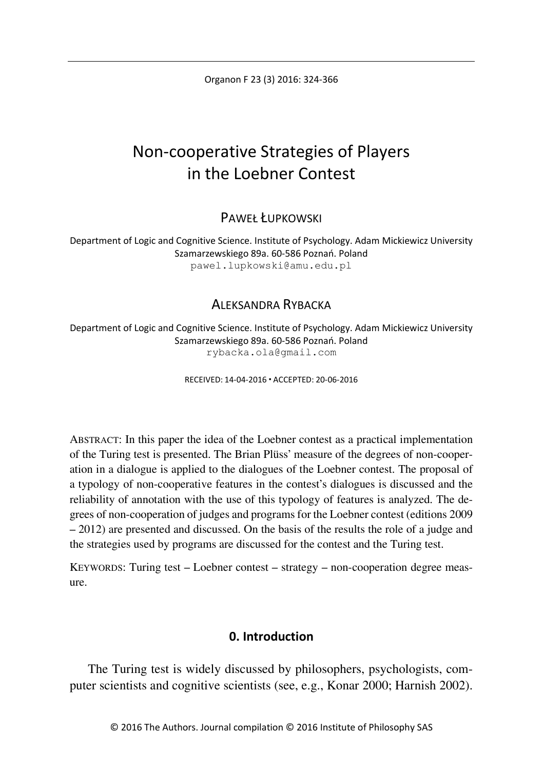Organon F 23 (3) 2016: 324-366

# Non-cooperative Strategies of Players in the Loebner Contest

PAWEŁ ŁUPKOWSKI

Department of Logic and Cognitive Science. Institute of Psychology. Adam Mickiewicz University Szamarzewskiego 89a. 60-586 Poznań. Poland pawel.lupkowski@amu.edu.pl

# ALEKSANDRA RYBACKA

Department of Logic and Cognitive Science. Institute of Psychology. Adam Mickiewicz University Szamarzewskiego 89a. 60-586 Poznań. Poland rybacka.ola@gmail.com

RECEIVED: 14-04-2016 ACCEPTED: 20-06-2016

ABSTRACT: In this paper the idea of the Loebner contest as a practical implementation of the Turing test is presented. The Brian Plüss' measure of the degrees of non-cooperation in a dialogue is applied to the dialogues of the Loebner contest. The proposal of a typology of non-cooperative features in the contest's dialogues is discussed and the reliability of annotation with the use of this typology of features is analyzed. The degrees of non-cooperation of judges and programs for the Loebner contest (editions 2009 – 2012) are presented and discussed. On the basis of the results the role of a judge and the strategies used by programs are discussed for the contest and the Turing test.

KEYWORDS: Turing test – Loebner contest – strategy – non-cooperation degree measure.

# **0. Introduction**

The Turing test is widely discussed by philosophers, psychologists, computer scientists and cognitive scientists (see, e.g., Konar 2000; Harnish 2002).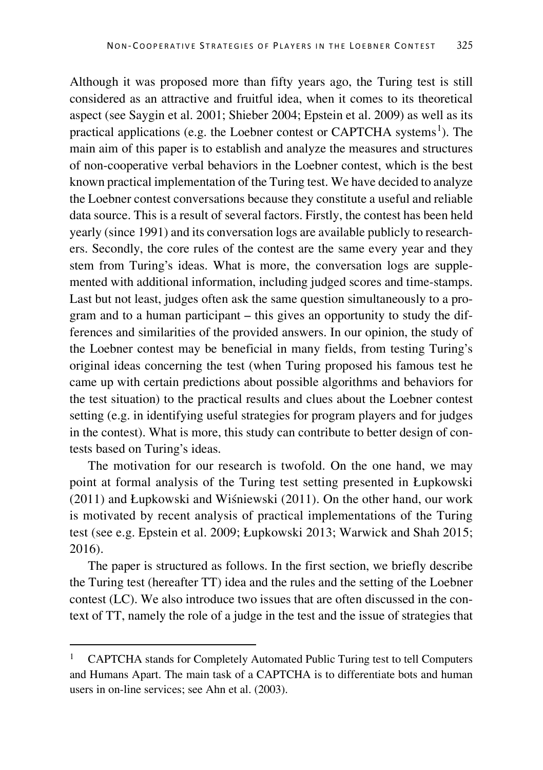Although it was proposed more than fifty years ago, the Turing test is still considered as an attractive and fruitful idea, when it comes to its theoretical aspect (see Saygin et al. 2001; Shieber 2004; Epstein et al. 2009) as well as its practical applications (e.g. the Loebner contest or CAPTCHA systems<sup>[1](#page-1-0)</sup>). The main aim of this paper is to establish and analyze the measures and structures of non-cooperative verbal behaviors in the Loebner contest, which is the best known practical implementation of the Turing test. We have decided to analyze the Loebner contest conversations because they constitute a useful and reliable data source. This is a result of several factors. Firstly, the contest has been held yearly (since 1991) and its conversation logs are available publicly to researchers. Secondly, the core rules of the contest are the same every year and they stem from Turing's ideas. What is more, the conversation logs are supplemented with additional information, including judged scores and time-stamps. Last but not least, judges often ask the same question simultaneously to a program and to a human participant – this gives an opportunity to study the differences and similarities of the provided answers. In our opinion, the study of the Loebner contest may be beneficial in many fields, from testing Turing's original ideas concerning the test (when Turing proposed his famous test he came up with certain predictions about possible algorithms and behaviors for the test situation) to the practical results and clues about the Loebner contest setting (e.g. in identifying useful strategies for program players and for judges in the contest). What is more, this study can contribute to better design of contests based on Turing's ideas.

The motivation for our research is twofold. On the one hand, we may point at formal analysis of the Turing test setting presented in Łupkowski (2011) and Łupkowski and Wiśniewski (2011). On the other hand, our work is motivated by recent analysis of practical implementations of the Turing test (see e.g. Epstein et al. 2009; Łupkowski 2013; Warwick and Shah 2015; 2016).

The paper is structured as follows. In the first section, we briefly describe the Turing test (hereafter TT) idea and the rules and the setting of the Loebner contest (LC). We also introduce two issues that are often discussed in the context of TT, namely the role of a judge in the test and the issue of strategies that

<span id="page-1-0"></span> <sup>1</sup> CAPTCHA stands for Completely Automated Public Turing test to tell Computers and Humans Apart. The main task of a CAPTCHA is to differentiate bots and human users in on-line services; see Ahn et al. (2003).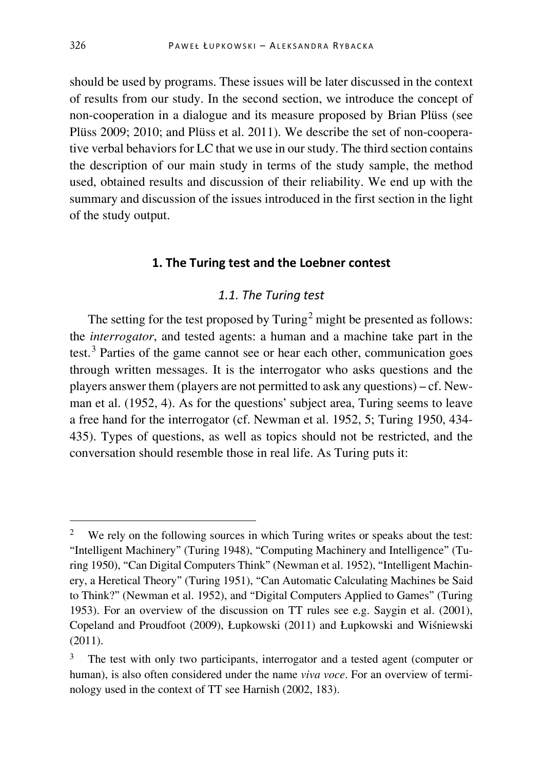should be used by programs. These issues will be later discussed in the context of results from our study. In the second section, we introduce the concept of non-cooperation in a dialogue and its measure proposed by Brian Plüss (see Plüss 2009; 2010; and Plüss et al. 2011). We describe the set of non-cooperative verbal behaviors for LC that we use in our study. The third section contains the description of our main study in terms of the study sample, the method used, obtained results and discussion of their reliability. We end up with the summary and discussion of the issues introduced in the first section in the light of the study output.

# **1. The Turing test and the Loebner contest**

## *1.1. The Turing test*

The setting for the test proposed by  $Turing<sup>2</sup>$  $Turing<sup>2</sup>$  $Turing<sup>2</sup>$  might be presented as follows: the *interrogator*, and tested agents: a human and a machine take part in the test. $3$  Parties of the game cannot see or hear each other, communication goes through written messages. It is the interrogator who asks questions and the players answer them (players are not permitted to ask any questions) – cf. Newman et al. (1952, 4). As for the questions' subject area, Turing seems to leave a free hand for the interrogator (cf. Newman et al. 1952, 5; Turing 1950, 434- 435). Types of questions, as well as topics should not be restricted, and the conversation should resemble those in real life. As Turing puts it:

<span id="page-2-0"></span>We rely on the following sources in which Turing writes or speaks about the test: "Intelligent Machinery" (Turing 1948), "Computing Machinery and Intelligence" (Turing 1950), "Can Digital Computers Think" (Newman et al. 1952), "Intelligent Machinery, a Heretical Theory" (Turing 1951), "Can Automatic Calculating Machines be Said to Think?" (Newman et al. 1952), and "Digital Computers Applied to Games" (Turing 1953). For an overview of the discussion on TT rules see e.g. Saygin et al. (2001), Copeland and Proudfoot (2009), Łupkowski (2011) and Łupkowski and Wiśniewski (2011).

<span id="page-2-1"></span>The test with only two participants, interrogator and a tested agent (computer or human), is also often considered under the name *viva voce*. For an overview of terminology used in the context of TT see Harnish (2002, 183).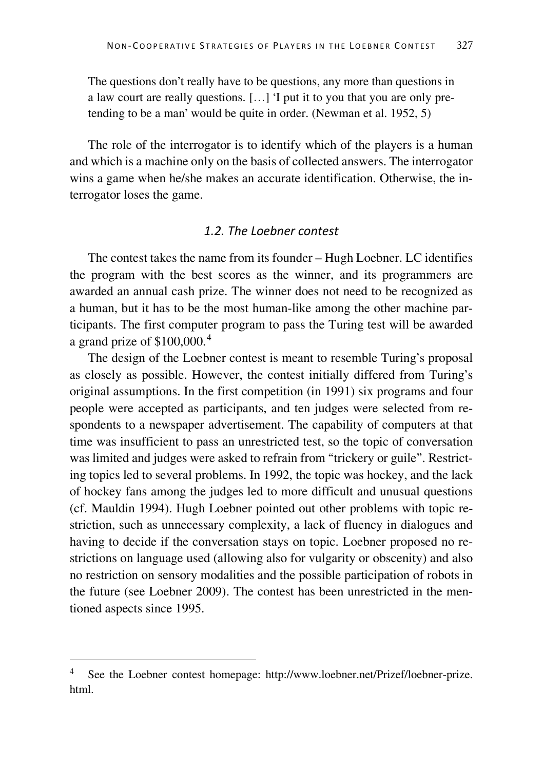The questions don't really have to be questions, any more than questions in a law court are really questions. […] 'I put it to you that you are only pretending to be a man' would be quite in order. (Newman et al. 1952, 5)

The role of the interrogator is to identify which of the players is a human and which is a machine only on the basis of collected answers. The interrogator wins a game when he/she makes an accurate identification. Otherwise, the interrogator loses the game.

### *1.2. The Loebner contest*

The contest takes the name from its founder – Hugh Loebner. LC identifies the program with the best scores as the winner, and its programmers are awarded an annual cash prize. The winner does not need to be recognized as a human, but it has to be the most human-like among the other machine participants. The first computer program to pass the Turing test will be awarded a grand prize of  $$100,000.<sup>4</sup>$  $$100,000.<sup>4</sup>$  $$100,000.<sup>4</sup>$ 

The design of the Loebner contest is meant to resemble Turing's proposal as closely as possible. However, the contest initially differed from Turing's original assumptions. In the first competition (in 1991) six programs and four people were accepted as participants, and ten judges were selected from respondents to a newspaper advertisement. The capability of computers at that time was insufficient to pass an unrestricted test, so the topic of conversation was limited and judges were asked to refrain from "trickery or guile". Restricting topics led to several problems. In 1992, the topic was hockey, and the lack of hockey fans among the judges led to more difficult and unusual questions (cf. Mauldin 1994). Hugh Loebner pointed out other problems with topic restriction, such as unnecessary complexity, a lack of fluency in dialogues and having to decide if the conversation stays on topic. Loebner proposed no restrictions on language used (allowing also for vulgarity or obscenity) and also no restriction on sensory modalities and the possible participation of robots in the future (see Loebner 2009). The contest has been unrestricted in the mentioned aspects since 1995.

<span id="page-3-0"></span> <sup>4</sup> See the Loebner contest homepage: http://www.loebner.net/Prizef/loebner-prize. html.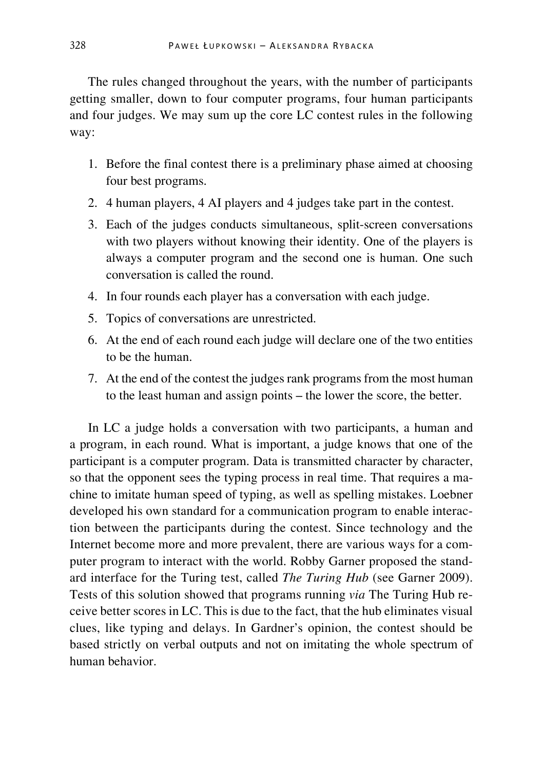The rules changed throughout the years, with the number of participants getting smaller, down to four computer programs, four human participants and four judges. We may sum up the core LC contest rules in the following way:

- 1. Before the final contest there is a preliminary phase aimed at choosing four best programs.
- 2. 4 human players, 4 AI players and 4 judges take part in the contest.
- 3. Each of the judges conducts simultaneous, split-screen conversations with two players without knowing their identity. One of the players is always a computer program and the second one is human. One such conversation is called the round.
- 4. In four rounds each player has a conversation with each judge.
- 5. Topics of conversations are unrestricted.
- 6. At the end of each round each judge will declare one of the two entities to be the human.
- 7. At the end of the contest the judges rank programs from the most human to the least human and assign points – the lower the score, the better.

In LC a judge holds a conversation with two participants, a human and a program, in each round. What is important, a judge knows that one of the participant is a computer program. Data is transmitted character by character, so that the opponent sees the typing process in real time. That requires a machine to imitate human speed of typing, as well as spelling mistakes. Loebner developed his own standard for a communication program to enable interaction between the participants during the contest. Since technology and the Internet become more and more prevalent, there are various ways for a computer program to interact with the world. Robby Garner proposed the standard interface for the Turing test, called *The Turing Hub* (see Garner 2009). Tests of this solution showed that programs running *via* The Turing Hub receive better scores in LC. This is due to the fact, that the hub eliminates visual clues, like typing and delays. In Gardner's opinion, the contest should be based strictly on verbal outputs and not on imitating the whole spectrum of human behavior.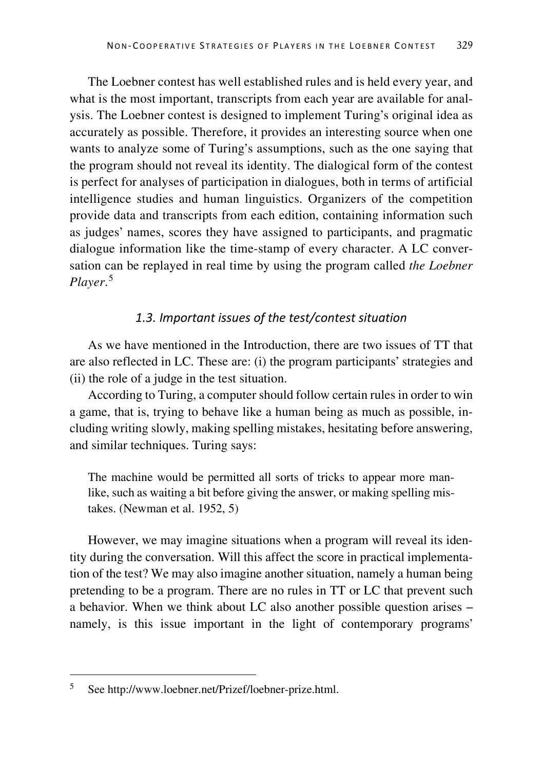The Loebner contest has well established rules and is held every year, and what is the most important, transcripts from each year are available for analysis. The Loebner contest is designed to implement Turing's original idea as accurately as possible. Therefore, it provides an interesting source when one wants to analyze some of Turing's assumptions, such as the one saying that the program should not reveal its identity. The dialogical form of the contest is perfect for analyses of participation in dialogues, both in terms of artificial intelligence studies and human linguistics. Organizers of the competition provide data and transcripts from each edition, containing information such as judges' names, scores they have assigned to participants, and pragmatic dialogue information like the time-stamp of every character. A LC conversation can be replayed in real time by using the program called *the Loebner Player*. [5](#page-5-0)

# *1.3. Important issues of the test/contest situation*

As we have mentioned in the Introduction, there are two issues of TT that are also reflected in LC. These are: (i) the program participants' strategies and (ii) the role of a judge in the test situation.

According to Turing, a computer should follow certain rules in order to win a game, that is, trying to behave like a human being as much as possible, including writing slowly, making spelling mistakes, hesitating before answering, and similar techniques. Turing says:

The machine would be permitted all sorts of tricks to appear more manlike, such as waiting a bit before giving the answer, or making spelling mistakes. (Newman et al. 1952, 5)

However, we may imagine situations when a program will reveal its identity during the conversation. Will this affect the score in practical implementation of the test? We may also imagine another situation, namely a human being pretending to be a program. There are no rules in TT or LC that prevent such a behavior. When we think about LC also another possible question arises – namely, is this issue important in the light of contemporary programs'

<span id="page-5-0"></span> <sup>5</sup> See http://www.loebner.net/Prizef/loebner-prize.html.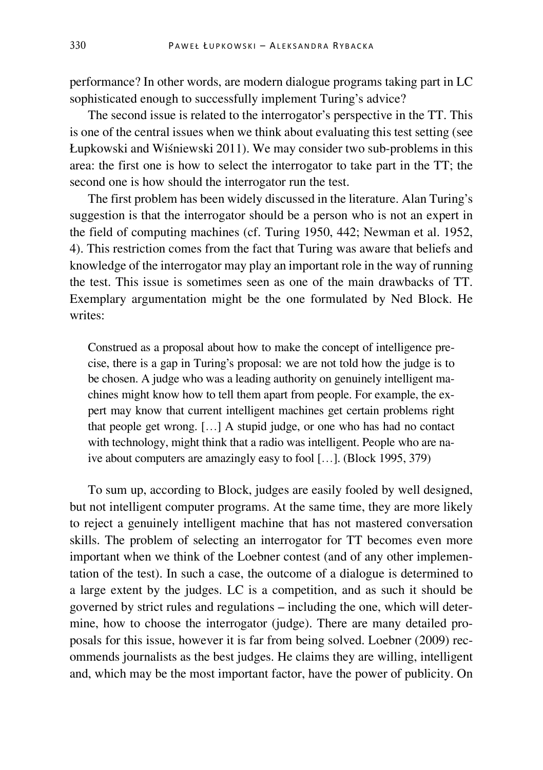performance? In other words, are modern dialogue programs taking part in LC sophisticated enough to successfully implement Turing's advice?

The second issue is related to the interrogator's perspective in the TT. This is one of the central issues when we think about evaluating this test setting (see Łupkowski and Wiśniewski 2011). We may consider two sub-problems in this area: the first one is how to select the interrogator to take part in the TT; the second one is how should the interrogator run the test.

The first problem has been widely discussed in the literature. Alan Turing's suggestion is that the interrogator should be a person who is not an expert in the field of computing machines (cf. Turing 1950, 442; Newman et al. 1952, 4). This restriction comes from the fact that Turing was aware that beliefs and knowledge of the interrogator may play an important role in the way of running the test. This issue is sometimes seen as one of the main drawbacks of TT. Exemplary argumentation might be the one formulated by Ned Block. He writes:

Construed as a proposal about how to make the concept of intelligence precise, there is a gap in Turing's proposal: we are not told how the judge is to be chosen. A judge who was a leading authority on genuinely intelligent machines might know how to tell them apart from people. For example, the expert may know that current intelligent machines get certain problems right that people get wrong. […] A stupid judge, or one who has had no contact with technology, might think that a radio was intelligent. People who are naive about computers are amazingly easy to fool […]. (Block 1995, 379)

To sum up, according to Block, judges are easily fooled by well designed, but not intelligent computer programs. At the same time, they are more likely to reject a genuinely intelligent machine that has not mastered conversation skills. The problem of selecting an interrogator for TT becomes even more important when we think of the Loebner contest (and of any other implementation of the test). In such a case, the outcome of a dialogue is determined to a large extent by the judges. LC is a competition, and as such it should be governed by strict rules and regulations – including the one, which will determine, how to choose the interrogator (judge). There are many detailed proposals for this issue, however it is far from being solved. Loebner (2009) recommends journalists as the best judges. He claims they are willing, intelligent and, which may be the most important factor, have the power of publicity. On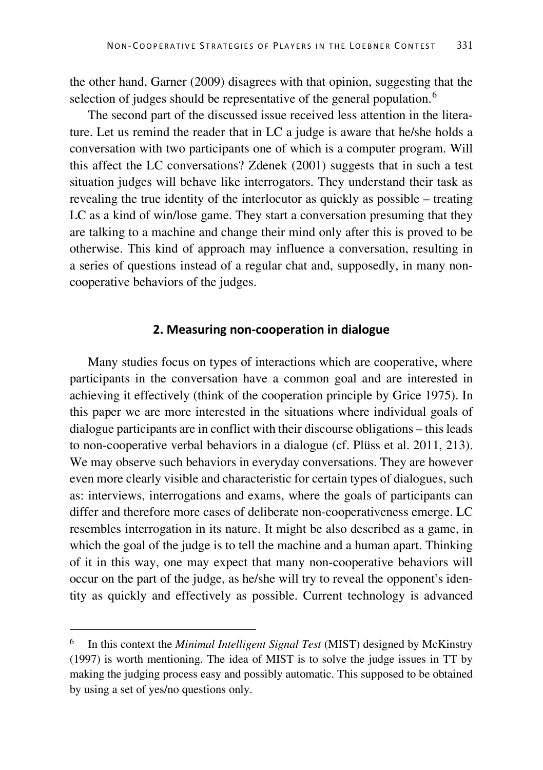the other hand, Garner (2009) disagrees with that opinion, suggesting that the selection of judges should be representative of the general population.<sup>[6](#page-7-0)</sup>

The second part of the discussed issue received less attention in the literature. Let us remind the reader that in LC a judge is aware that he/she holds a conversation with two participants one of which is a computer program. Will this affect the LC conversations? Zdenek (2001) suggests that in such a test situation judges will behave like interrogators. They understand their task as revealing the true identity of the interlocutor as quickly as possible – treating LC as a kind of win/lose game. They start a conversation presuming that they are talking to a machine and change their mind only after this is proved to be otherwise. This kind of approach may influence a conversation, resulting in a series of questions instead of a regular chat and, supposedly, in many noncooperative behaviors of the judges.

## **2. Measuring non-cooperation in dialogue**

Many studies focus on types of interactions which are cooperative, where participants in the conversation have a common goal and are interested in achieving it effectively (think of the cooperation principle by Grice 1975). In this paper we are more interested in the situations where individual goals of dialogue participants are in conflict with their discourse obligations – this leads to non-cooperative verbal behaviors in a dialogue (cf. Plüss et al. 2011, 213). We may observe such behaviors in everyday conversations. They are however even more clearly visible and characteristic for certain types of dialogues, such as: interviews, interrogations and exams, where the goals of participants can differ and therefore more cases of deliberate non-cooperativeness emerge. LC resembles interrogation in its nature. It might be also described as a game, in which the goal of the judge is to tell the machine and a human apart. Thinking of it in this way, one may expect that many non-cooperative behaviors will occur on the part of the judge, as he/she will try to reveal the opponent's identity as quickly and effectively as possible. Current technology is advanced

<span id="page-7-0"></span> <sup>6</sup> In this context the *Minimal Intelligent Signal Test* (MIST) designed by McKinstry (1997) is worth mentioning. The idea of MIST is to solve the judge issues in TT by making the judging process easy and possibly automatic. This supposed to be obtained by using a set of yes/no questions only.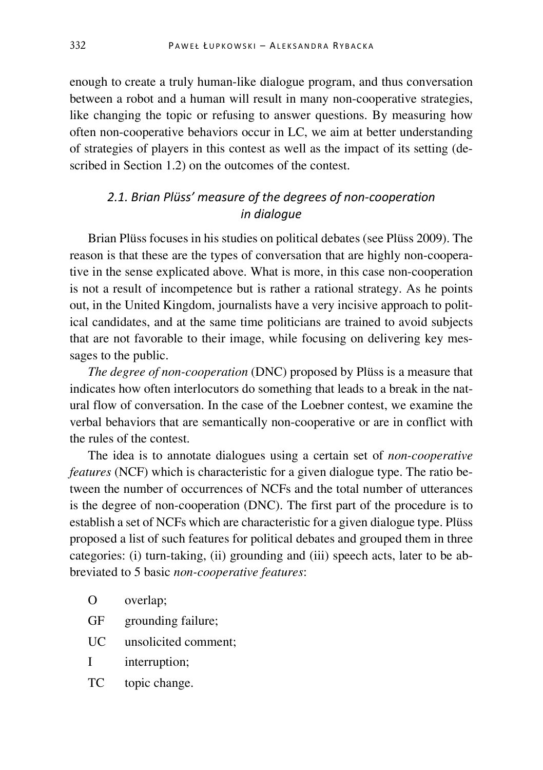enough to create a truly human-like dialogue program, and thus conversation between a robot and a human will result in many non-cooperative strategies, like changing the topic or refusing to answer questions. By measuring how often non-cooperative behaviors occur in LC, we aim at better understanding of strategies of players in this contest as well as the impact of its setting (described in Section 1.2) on the outcomes of the contest.

# *2.1. Brian Plüss' measure of the degrees of non-cooperation in dialogue*

Brian Plüss focuses in his studies on political debates (see Plüss 2009). The reason is that these are the types of conversation that are highly non-cooperative in the sense explicated above. What is more, in this case non-cooperation is not a result of incompetence but is rather a rational strategy. As he points out, in the United Kingdom, journalists have a very incisive approach to political candidates, and at the same time politicians are trained to avoid subjects that are not favorable to their image, while focusing on delivering key messages to the public.

*The degree of non-cooperation* (DNC) proposed by Plüss is a measure that indicates how often interlocutors do something that leads to a break in the natural flow of conversation. In the case of the Loebner contest, we examine the verbal behaviors that are semantically non-cooperative or are in conflict with the rules of the contest.

The idea is to annotate dialogues using a certain set of *non-cooperative features* (NCF) which is characteristic for a given dialogue type. The ratio between the number of occurrences of NCFs and the total number of utterances is the degree of non-cooperation (DNC). The first part of the procedure is to establish a set of NCFs which are characteristic for a given dialogue type. Plüss proposed a list of such features for political debates and grouped them in three categories: (i) turn-taking, (ii) grounding and (iii) speech acts, later to be abbreviated to 5 basic *non-cooperative features*:

- O overlap;
- GF grounding failure;
- UC unsolicited comment;
- I interruption;
- TC topic change.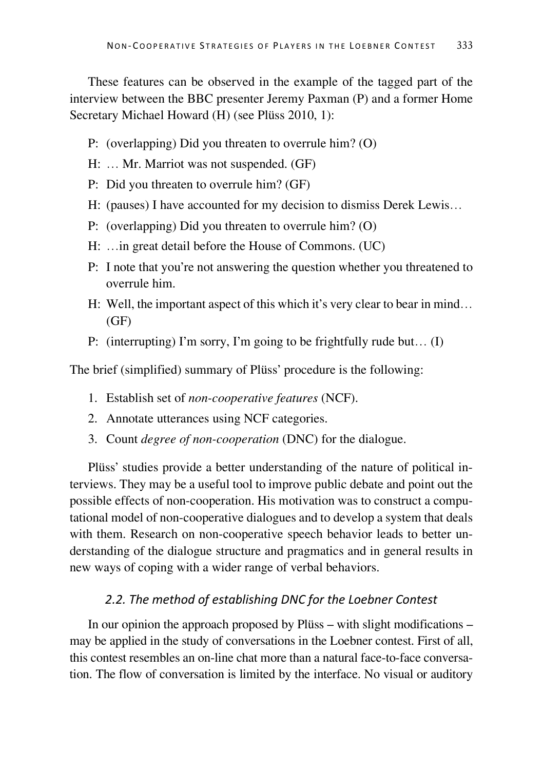These features can be observed in the example of the tagged part of the interview between the BBC presenter Jeremy Paxman (P) and a former Home Secretary Michael Howard (H) (see Plüss 2010, 1):

- P: (overlapping) Did you threaten to overrule him? (O)
- H: … Mr. Marriot was not suspended. (GF)
- P: Did you threaten to overrule him? (GF)
- H: (pauses) I have accounted for my decision to dismiss Derek Lewis…
- P: (overlapping) Did you threaten to overrule him? (O)
- H: …in great detail before the House of Commons. (UC)
- P: I note that you're not answering the question whether you threatened to overrule him.
- H: Well, the important aspect of this which it's very clear to bear in mind…  $(GF)$
- P: (interrupting) I'm sorry, I'm going to be frightfully rude but… (I)

The brief (simplified) summary of Plüss' procedure is the following:

- 1. Establish set of *non-cooperative features* (NCF).
- 2. Annotate utterances using NCF categories.
- 3. Count *degree of non-cooperation* (DNC) for the dialogue.

Plüss' studies provide a better understanding of the nature of political interviews. They may be a useful tool to improve public debate and point out the possible effects of non-cooperation. His motivation was to construct a computational model of non-cooperative dialogues and to develop a system that deals with them. Research on non-cooperative speech behavior leads to better understanding of the dialogue structure and pragmatics and in general results in new ways of coping with a wider range of verbal behaviors.

# *2.2. The method of establishing DNC for the Loebner Contest*

In our opinion the approach proposed by Plüss – with slight modifications – may be applied in the study of conversations in the Loebner contest. First of all, this contest resembles an on-line chat more than a natural face-to-face conversation. The flow of conversation is limited by the interface. No visual or auditory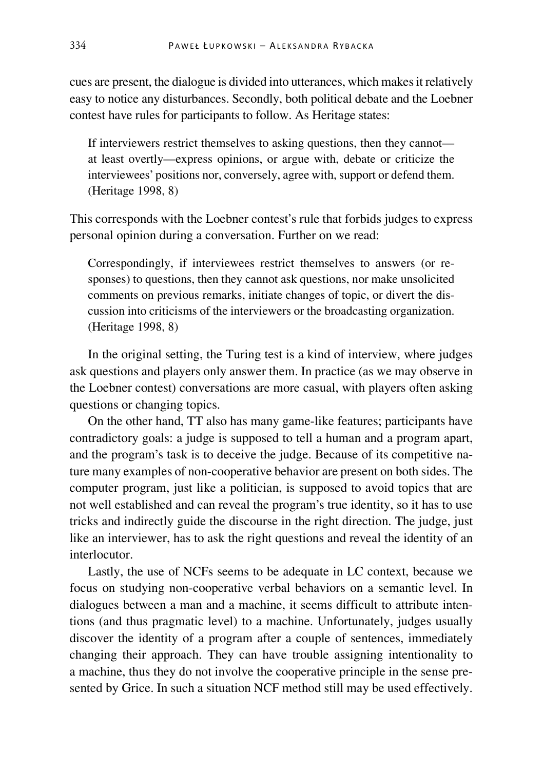cues are present, the dialogue is divided into utterances, which makes it relatively easy to notice any disturbances. Secondly, both political debate and the Loebner contest have rules for participants to follow. As Heritage states:

If interviewers restrict themselves to asking questions, then they cannot at least overtly—express opinions, or argue with, debate or criticize the interviewees' positions nor, conversely, agree with, support or defend them. (Heritage 1998, 8)

This corresponds with the Loebner contest's rule that forbids judges to express personal opinion during a conversation. Further on we read:

Correspondingly, if interviewees restrict themselves to answers (or responses) to questions, then they cannot ask questions, nor make unsolicited comments on previous remarks, initiate changes of topic, or divert the discussion into criticisms of the interviewers or the broadcasting organization. (Heritage 1998, 8)

In the original setting, the Turing test is a kind of interview, where judges ask questions and players only answer them. In practice (as we may observe in the Loebner contest) conversations are more casual, with players often asking questions or changing topics.

On the other hand, TT also has many game-like features; participants have contradictory goals: a judge is supposed to tell a human and a program apart, and the program's task is to deceive the judge. Because of its competitive nature many examples of non-cooperative behavior are present on both sides. The computer program, just like a politician, is supposed to avoid topics that are not well established and can reveal the program's true identity, so it has to use tricks and indirectly guide the discourse in the right direction. The judge, just like an interviewer, has to ask the right questions and reveal the identity of an interlocutor.

Lastly, the use of NCFs seems to be adequate in LC context, because we focus on studying non-cooperative verbal behaviors on a semantic level. In dialogues between a man and a machine, it seems difficult to attribute intentions (and thus pragmatic level) to a machine. Unfortunately, judges usually discover the identity of a program after a couple of sentences, immediately changing their approach. They can have trouble assigning intentionality to a machine, thus they do not involve the cooperative principle in the sense presented by Grice. In such a situation NCF method still may be used effectively.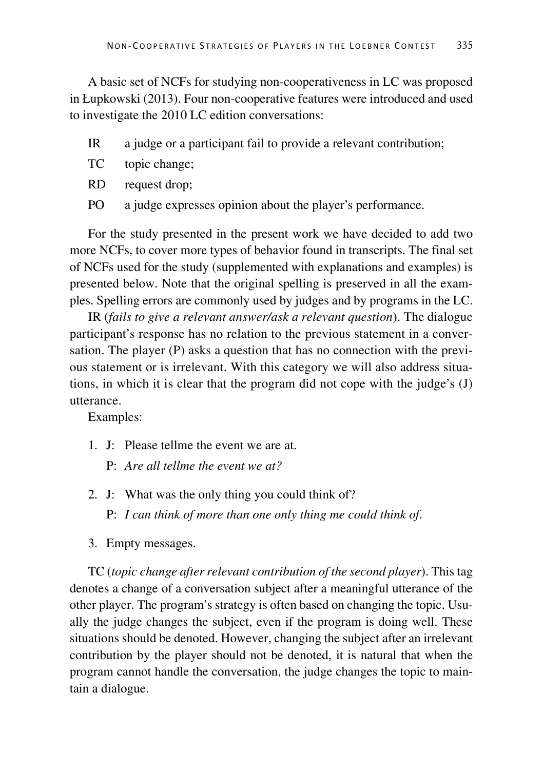A basic set of NCFs for studying non-cooperativeness in LC was proposed in Łupkowski (2013). Four non-cooperative features were introduced and used to investigate the 2010 LC edition conversations:

- IR a judge or a participant fail to provide a relevant contribution;
- TC topic change;
- RD request drop;
- PO a judge expresses opinion about the player's performance.

For the study presented in the present work we have decided to add two more NCFs, to cover more types of behavior found in transcripts. The final set of NCFs used for the study (supplemented with explanations and examples) is presented below. Note that the original spelling is preserved in all the examples. Spelling errors are commonly used by judges and by programs in the LC.

IR (*fails to give a relevant answer/ask a relevant question*). The dialogue participant's response has no relation to the previous statement in a conversation. The player (P) asks a question that has no connection with the previous statement or is irrelevant. With this category we will also address situations, in which it is clear that the program did not cope with the judge's (J) utterance.

Examples:

- 1. J: Please tellme the event we are at.
	- P: *Are all tellme the event we at?*
- 2. J: What was the only thing you could think of? P: *I can think of more than one only thing me could think of*.
- 3. Empty messages.

TC (*topic change after relevant contribution of the second player*). This tag denotes a change of a conversation subject after a meaningful utterance of the other player. The program's strategy is often based on changing the topic. Usually the judge changes the subject, even if the program is doing well. These situations should be denoted. However, changing the subject after an irrelevant contribution by the player should not be denoted, it is natural that when the program cannot handle the conversation, the judge changes the topic to maintain a dialogue.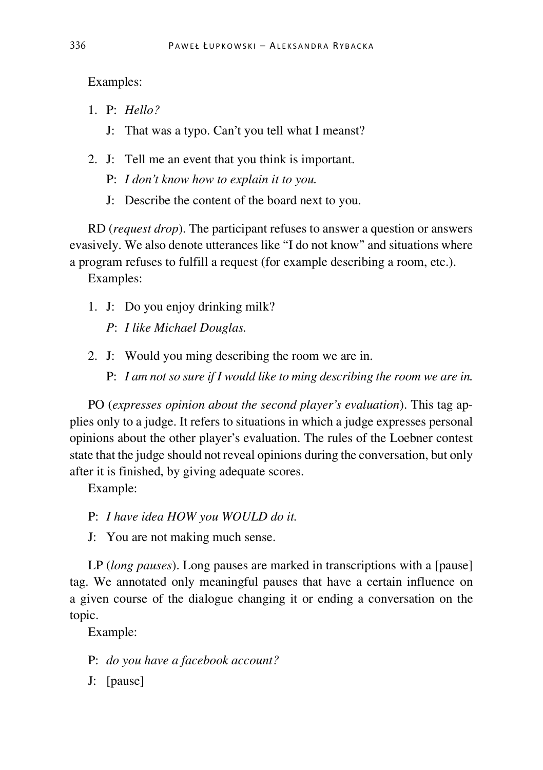Examples:

- 1. P: *Hello?*
	- J: That was a typo. Can't you tell what I meanst?
- 2. J: Tell me an event that you think is important.
	- P: *I don't know how to explain it to you.*
	- J: Describe the content of the board next to you.

RD (*request drop*). The participant refuses to answer a question or answers evasively. We also denote utterances like "I do not know" and situations where a program refuses to fulfill a request (for example describing a room, etc.).

Examples:

- 1. J: Do you enjoy drinking milk?
	- *P*: *I like Michael Douglas.*
- 2. J: Would you ming describing the room we are in.
	- P: *I am not so sure if I would like to ming describing the room we are in.*

PO (*expresses opinion about the second player's evaluation*). This tag applies only to a judge. It refers to situations in which a judge expresses personal opinions about the other player's evaluation. The rules of the Loebner contest state that the judge should not reveal opinions during the conversation, but only after it is finished, by giving adequate scores.

Example:

- P: *I have idea HOW you WOULD do it.*
- J: You are not making much sense.

LP (*long pauses*). Long pauses are marked in transcriptions with a [pause] tag. We annotated only meaningful pauses that have a certain influence on a given course of the dialogue changing it or ending a conversation on the topic.

Example:

- P: *do you have a facebook account?*
- J: [pause]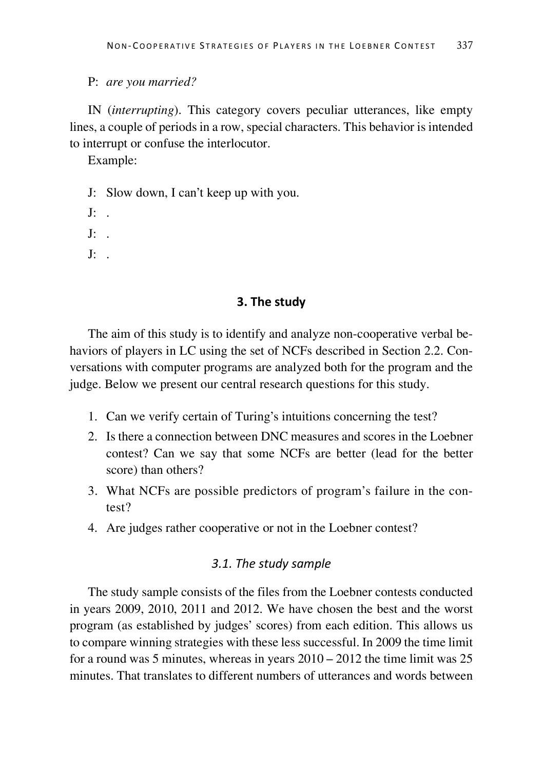#### P: *are you married?*

IN (*interrupting*). This category covers peculiar utterances, like empty lines, a couple of periods in a row, special characters. This behavior is intended to interrupt or confuse the interlocutor.

Example:

- J: Slow down, I can't keep up with you.
- $I^{\ldots}$
- $I^{\ldots}$
- $I^{\cdot}$

#### **3. The study**

The aim of this study is to identify and analyze non-cooperative verbal behaviors of players in LC using the set of NCFs described in Section 2.2. Conversations with computer programs are analyzed both for the program and the judge. Below we present our central research questions for this study.

- 1. Can we verify certain of Turing's intuitions concerning the test?
- 2. Is there a connection between DNC measures and scores in the Loebner contest? Can we say that some NCFs are better (lead for the better score) than others?
- 3. What NCFs are possible predictors of program's failure in the contest?
- 4. Are judges rather cooperative or not in the Loebner contest?

# *3.1. The study sample*

The study sample consists of the files from the Loebner contests conducted in years 2009, 2010, 2011 and 2012. We have chosen the best and the worst program (as established by judges' scores) from each edition. This allows us to compare winning strategies with these less successful. In 2009 the time limit for a round was 5 minutes, whereas in years 2010 – 2012 the time limit was 25 minutes. That translates to different numbers of utterances and words between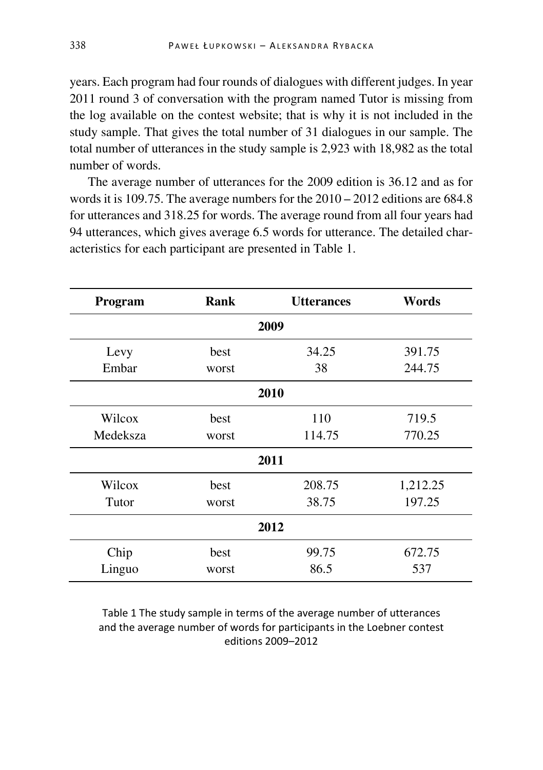years. Each program had four rounds of dialogues with different judges. In year 2011 round 3 of conversation with the program named Tutor is missing from the log available on the contest website; that is why it is not included in the study sample. That gives the total number of 31 dialogues in our sample. The total number of utterances in the study sample is 2,923 with 18,982 as the total number of words.

The average number of utterances for the 2009 edition is 36.12 and as for words it is 109.75. The average numbers for the 2010 – 2012 editions are 684.8 for utterances and 318.25 for words. The average round from all four years had 94 utterances, which gives average 6.5 words for utterance. The detailed characteristics for each participant are presented in Table 1.

| Program  | Rank  | <b>Utterances</b> | Words    |
|----------|-------|-------------------|----------|
|          |       | 2009              |          |
| Levy     | best  | 34.25             | 391.75   |
| Embar    | worst | 38                | 244.75   |
|          |       | 2010              |          |
| Wilcox   | best  | 110               | 719.5    |
| Medeksza | worst | 114.75            | 770.25   |
|          |       | 2011              |          |
| Wilcox   | best  | 208.75            | 1,212.25 |
| Tutor    | worst | 38.75             | 197.25   |
|          |       | 2012              |          |
| Chip     | best  | 99.75             | 672.75   |
| Linguo   | worst | 86.5              | 537      |

Table 1 The study sample in terms of the average number of utterances and the average number of words for participants in the Loebner contest editions 2009–2012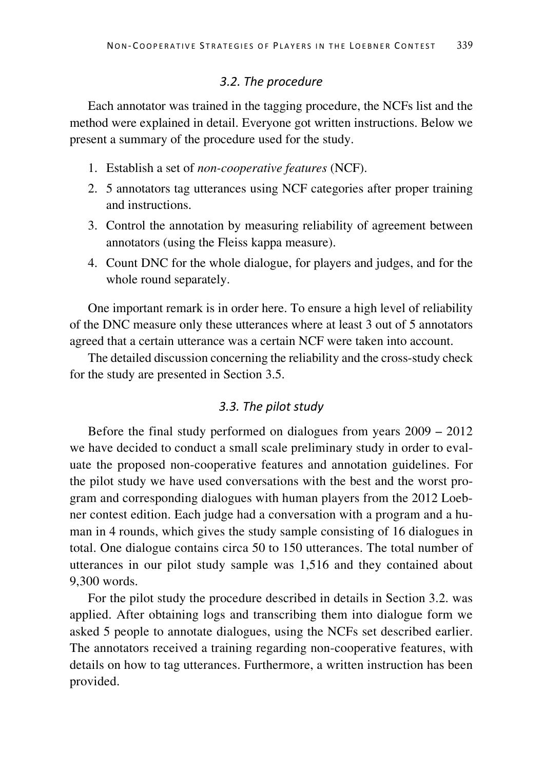## *3.2. The procedure*

Each annotator was trained in the tagging procedure, the NCFs list and the method were explained in detail. Everyone got written instructions. Below we present a summary of the procedure used for the study.

- 1. Establish a set of *non-cooperative features* (NCF).
- 2. 5 annotators tag utterances using NCF categories after proper training and instructions.
- 3. Control the annotation by measuring reliability of agreement between annotators (using the Fleiss kappa measure).
- 4. Count DNC for the whole dialogue, for players and judges, and for the whole round separately.

One important remark is in order here. To ensure a high level of reliability of the DNC measure only these utterances where at least 3 out of 5 annotators agreed that a certain utterance was a certain NCF were taken into account.

The detailed discussion concerning the reliability and the cross-study check for the study are presented in Section 3.5.

# *3.3. The pilot study*

Before the final study performed on dialogues from years 2009 – 2012 we have decided to conduct a small scale preliminary study in order to evaluate the proposed non-cooperative features and annotation guidelines. For the pilot study we have used conversations with the best and the worst program and corresponding dialogues with human players from the 2012 Loebner contest edition. Each judge had a conversation with a program and a human in 4 rounds, which gives the study sample consisting of 16 dialogues in total. One dialogue contains circa 50 to 150 utterances. The total number of utterances in our pilot study sample was 1,516 and they contained about 9,300 words.

For the pilot study the procedure described in details in Section 3.2. was applied. After obtaining logs and transcribing them into dialogue form we asked 5 people to annotate dialogues, using the NCFs set described earlier. The annotators received a training regarding non-cooperative features, with details on how to tag utterances. Furthermore, a written instruction has been provided.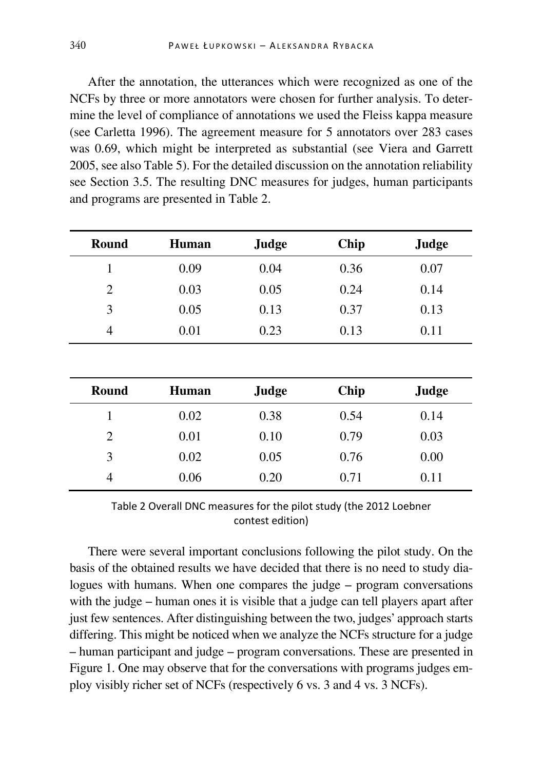After the annotation, the utterances which were recognized as one of the NCFs by three or more annotators were chosen for further analysis. To determine the level of compliance of annotations we used the Fleiss kappa measure (see Carletta 1996). The agreement measure for 5 annotators over 283 cases was 0.69, which might be interpreted as substantial (see Viera and Garrett 2005, see also Table 5). For the detailed discussion on the annotation reliability see Section 3.5. The resulting DNC measures for judges, human participants and programs are presented in Table 2.

| Round          | Human | Judge | Chip | Judge |
|----------------|-------|-------|------|-------|
| 1              | 0.09  | 0.04  | 0.36 | 0.07  |
| 2              | 0.03  | 0.05  | 0.24 | 0.14  |
| 3              | 0.05  | 0.13  | 0.37 | 0.13  |
| $\overline{4}$ | 0.01  | 0.23  | 0.13 | 0.11  |
|                |       |       |      |       |
|                |       |       |      |       |

| Round | Human | Judge | Chip | Judge |
|-------|-------|-------|------|-------|
|       | 0.02  | 0.38  | 0.54 | 0.14  |
| 2     | 0.01  | 0.10  | 0.79 | 0.03  |
| 3     | 0.02  | 0.05  | 0.76 | 0.00  |
| 4     | 0.06  | 0.20  | 0.71 | 0.11  |

Table 2 Overall DNC measures for the pilot study (the 2012 Loebner contest edition)

There were several important conclusions following the pilot study. On the basis of the obtained results we have decided that there is no need to study dialogues with humans. When one compares the judge – program conversations with the judge – human ones it is visible that a judge can tell players apart after just few sentences. After distinguishing between the two, judges' approach starts differing. This might be noticed when we analyze the NCFs structure for a judge – human participant and judge – program conversations. These are presented in Figure 1. One may observe that for the conversations with programs judges employ visibly richer set of NCFs (respectively 6 vs. 3 and 4 vs. 3 NCFs).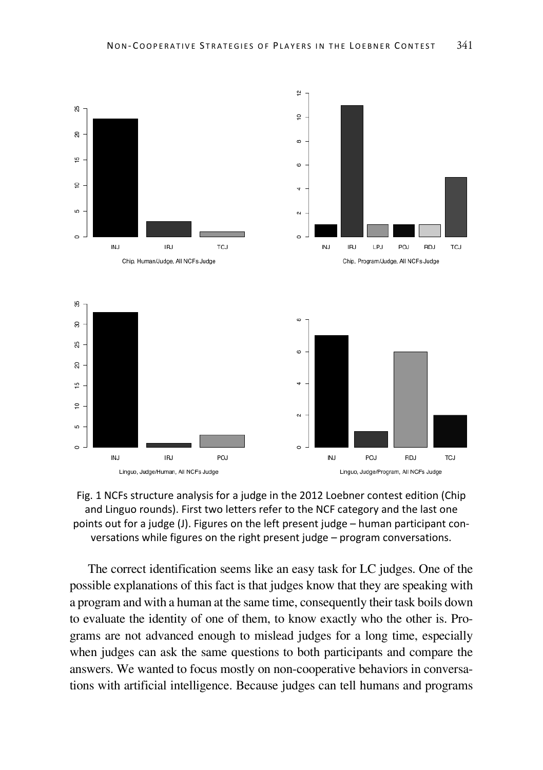



The correct identification seems like an easy task for LC judges. One of the possible explanations of this fact is that judges know that they are speaking with a program and with a human at the same time, consequently their task boils down to evaluate the identity of one of them, to know exactly who the other is. Programs are not advanced enough to mislead judges for a long time, especially when judges can ask the same questions to both participants and compare the answers. We wanted to focus mostly on non-cooperative behaviors in conversations with artificial intelligence. Because judges can tell humans and programs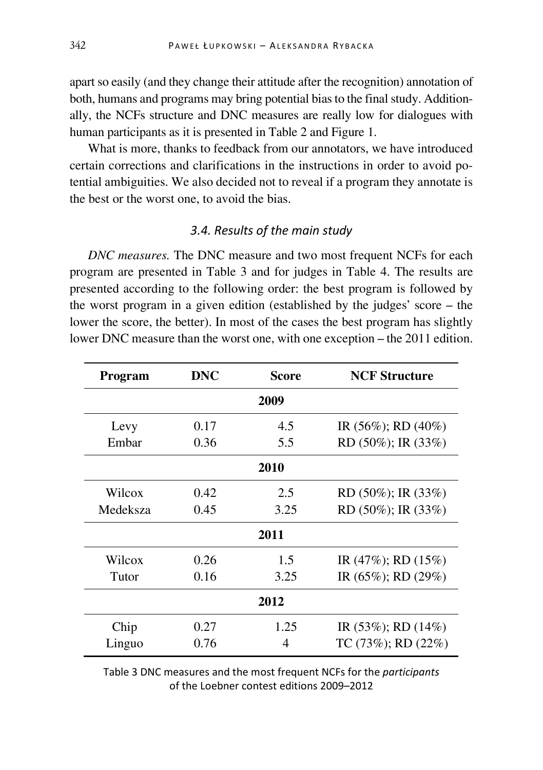apart so easily (and they change their attitude after the recognition) annotation of both, humans and programs may bring potential bias to the final study. Additionally, the NCFs structure and DNC measures are really low for dialogues with human participants as it is presented in Table 2 and Figure 1.

What is more, thanks to feedback from our annotators, we have introduced certain corrections and clarifications in the instructions in order to avoid potential ambiguities. We also decided not to reveal if a program they annotate is the best or the worst one, to avoid the bias.

# *3.4. Results of the main study*

*DNC measures.* The DNC measure and two most frequent NCFs for each program are presented in Table 3 and for judges in Table 4. The results are presented according to the following order: the best program is followed by the worst program in a given edition (established by the judges' score – the lower the score, the better). In most of the cases the best program has slightly lower DNC measure than the worst one, with one exception – the 2011 edition.

| Program  | DNC  | Score | <b>NCF Structure</b>      |
|----------|------|-------|---------------------------|
|          |      | 2009  |                           |
| Levy     | 0.17 | 4.5   | IR $(56\%)$ ; RD $(40\%)$ |
| Embar    | 0.36 | 5.5   | RD $(50\%)$ ; IR $(33\%)$ |
|          |      | 2010  |                           |
| Wilcox   | 0.42 | 2.5   | RD $(50\%)$ ; IR $(33\%)$ |
| Medeksza | 0.45 | 3.25  | RD $(50\%)$ ; IR $(33\%)$ |
|          |      | 2011  |                           |
| Wilcox   | 0.26 | 1.5   | IR $(47\%)$ ; RD $(15\%)$ |
| Tutor    | 0.16 | 3.25  | IR $(65\%)$ ; RD $(29\%)$ |
| 2012     |      |       |                           |
| Chip     | 0.27 | 1.25  | IR $(53\%)$ ; RD $(14\%)$ |
| Linguo   | 0.76 | 4     | $TC(73\%)$ ; RD $(22\%)$  |

Table 3 DNC measures and the most frequent NCFs for the *participants*  of the Loebner contest editions 2009–2012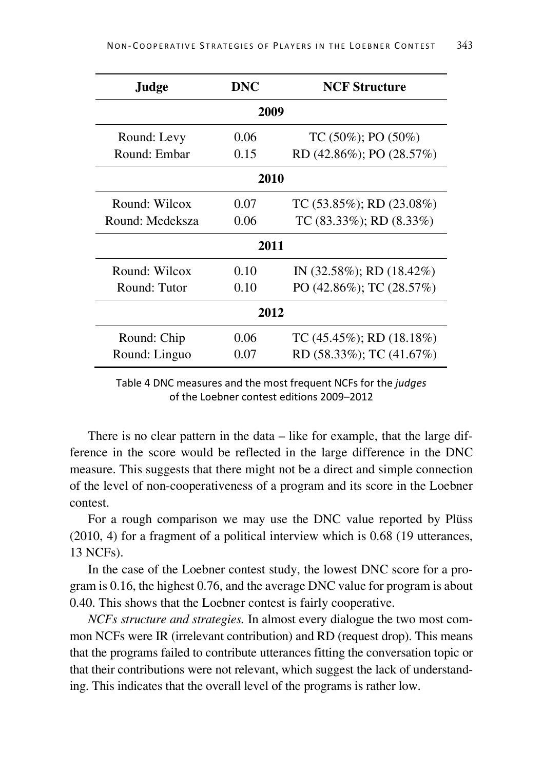| Judge           | DNC  | <b>NCF Structure</b>            |
|-----------------|------|---------------------------------|
|                 | 2009 |                                 |
| Round: Levy     | 0.06 | TC (50%); PO (50%)              |
| Round: Embar    | 0.15 | RD (42.86%); PO (28.57%)        |
|                 | 2010 |                                 |
| Round: Wilcox   | 0.07 | TC $(53.85\%)$ ; RD $(23.08\%)$ |
| Round: Medeksza | 0.06 | TC $(83.33\%)$ ; RD $(8.33\%)$  |
|                 | 2011 |                                 |
| Round: Wilcox   | 0.10 | IN $(32.58\%);$ RD $(18.42\%)$  |
| Round: Tutor    | 0.10 | PO (42.86%); TC (28.57%)        |
| 2012            |      |                                 |
| Round: Chip     | 0.06 | TC $(45.45\%)$ ; RD $(18.18\%)$ |
| Round: Linguo   | 0.07 | RD $(58.33\%)$ ; TC $(41.67\%)$ |

Table 4 DNC measures and the most frequent NCFs for the *judges*  of the Loebner contest editions 2009–2012

There is no clear pattern in the data – like for example, that the large difference in the score would be reflected in the large difference in the DNC measure. This suggests that there might not be a direct and simple connection of the level of non-cooperativeness of a program and its score in the Loebner contest.

For a rough comparison we may use the DNC value reported by Plüss (2010, 4) for a fragment of a political interview which is 0.68 (19 utterances, 13 NCFs).

In the case of the Loebner contest study, the lowest DNC score for a program is 0.16, the highest 0.76, and the average DNC value for program is about 0.40. This shows that the Loebner contest is fairly cooperative.

*NCFs structure and strategies.* In almost every dialogue the two most common NCFs were IR (irrelevant contribution) and RD (request drop). This means that the programs failed to contribute utterances fitting the conversation topic or that their contributions were not relevant, which suggest the lack of understanding. This indicates that the overall level of the programs is rather low.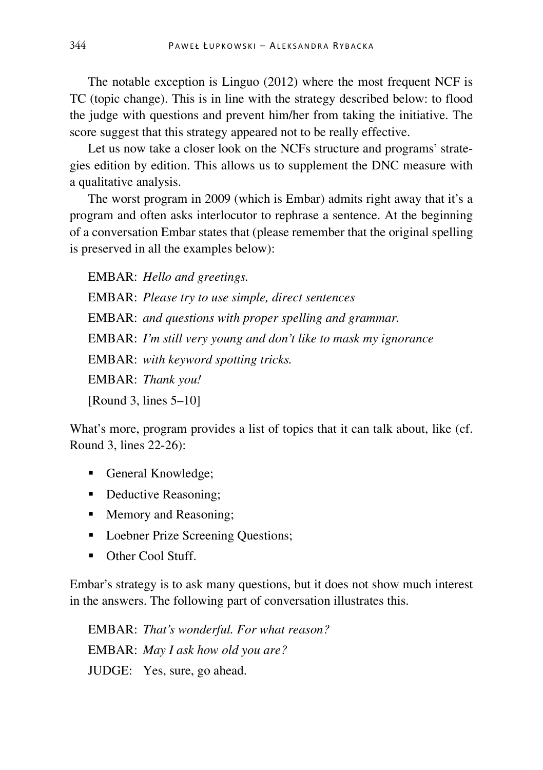The notable exception is Linguo (2012) where the most frequent NCF is TC (topic change). This is in line with the strategy described below: to flood the judge with questions and prevent him/her from taking the initiative. The score suggest that this strategy appeared not to be really effective.

Let us now take a closer look on the NCFs structure and programs' strategies edition by edition. This allows us to supplement the DNC measure with a qualitative analysis.

The worst program in 2009 (which is Embar) admits right away that it's a program and often asks interlocutor to rephrase a sentence. At the beginning of a conversation Embar states that (please remember that the original spelling is preserved in all the examples below):

EMBAR: *Hello and greetings.* EMBAR: *Please try to use simple, direct sentences* EMBAR: *and questions with proper spelling and grammar.*  EMBAR: *I'm still very young and don't like to mask my ignorance*  EMBAR: *with keyword spotting tricks.*  EMBAR: *Thank you!*  [Round 3, lines 5–10]

What's more, program provides a list of topics that it can talk about, like (cf. Round 3, lines 22-26):

- General Knowledge;
- Deductive Reasoning:
- Memory and Reasoning;
- Loebner Prize Screening Questions;
- Other Cool Stuff.

Embar's strategy is to ask many questions, but it does not show much interest in the answers. The following part of conversation illustrates this.

EMBAR: *That's wonderful. For what reason?*  EMBAR: *May I ask how old you are?*  JUDGE: Yes, sure, go ahead.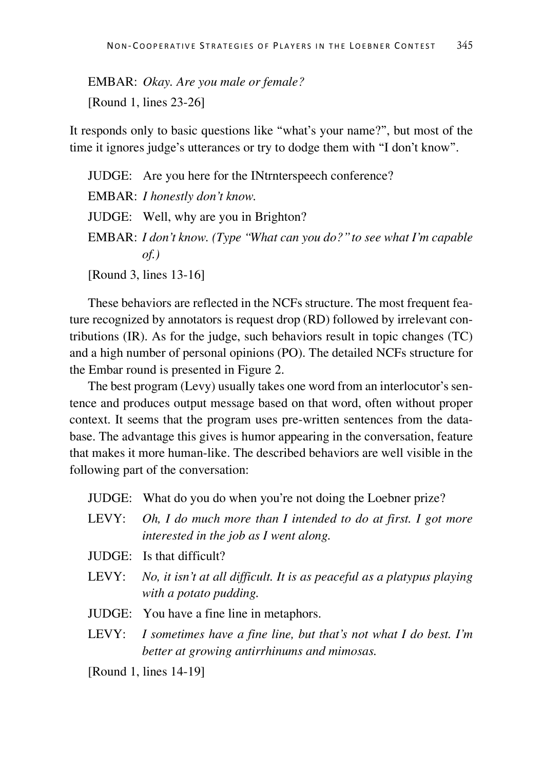EMBAR: *Okay. Are you male or female?*  [Round 1, lines 23-26]

It responds only to basic questions like "what's your name?", but most of the time it ignores judge's utterances or try to dodge them with "I don't know".

JUDGE: Are you here for the INtrnterspeech conference? EMBAR: *I honestly don't know.* JUDGE: Well, why are you in Brighton? EMBAR: *I don't know. (Type "What can you do?" to see what I'm capable of.)* 

[Round 3, lines 13-16]

These behaviors are reflected in the NCFs structure. The most frequent feature recognized by annotators is request drop (RD) followed by irrelevant contributions (IR). As for the judge, such behaviors result in topic changes (TC) and a high number of personal opinions (PO). The detailed NCFs structure for the Embar round is presented in Figure 2.

The best program (Levy) usually takes one word from an interlocutor's sentence and produces output message based on that word, often without proper context. It seems that the program uses pre-written sentences from the database. The advantage this gives is humor appearing in the conversation, feature that makes it more human-like. The described behaviors are well visible in the following part of the conversation:

JUDGE: What do you do when you're not doing the Loebner prize?

- LEVY: *Oh, I do much more than I intended to do at first. I got more interested in the job as I went along.*
- JUDGE: Is that difficult?
- LEVY: *No, it isn't at all difficult. It is as peaceful as a platypus playing with a potato pudding.*
- JUDGE: You have a fine line in metaphors.
- LEVY: *I sometimes have a fine line, but that's not what I do best. I'm better at growing antirrhinums and mimosas.*

[Round 1, lines 14-19]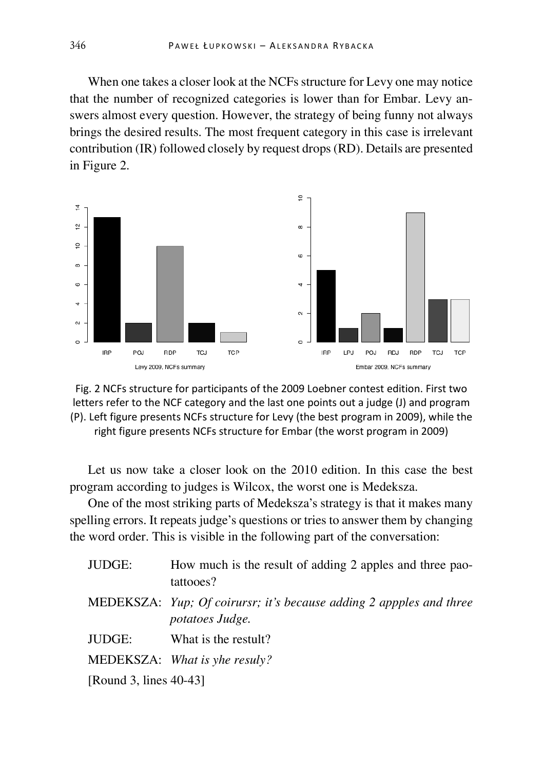When one takes a closer look at the NCFs structure for Levy one may notice that the number of recognized categories is lower than for Embar. Levy answers almost every question. However, the strategy of being funny not always brings the desired results. The most frequent category in this case is irrelevant contribution (IR) followed closely by request drops (RD). Details are presented in Figure 2.





Let us now take a closer look on the 2010 edition. In this case the best program according to judges is Wilcox, the worst one is Medeksza.

One of the most striking parts of Medeksza's strategy is that it makes many spelling errors. It repeats judge's questions or tries to answer them by changing the word order. This is visible in the following part of the conversation:

| JUDGE:                    | How much is the result of adding 2 apples and three pao-<br>tattooes?                                |
|---------------------------|------------------------------------------------------------------------------------------------------|
|                           | <b>MEDEKSZA:</b> Yup; Of coirursr; it's because adding 2 appples and three<br><i>potatoes Judge.</i> |
| JUDGE:                    | What is the restult?                                                                                 |
|                           | MEDEKSZA: What is yhe resuly?                                                                        |
| [Round 3, lines $40-43$ ] |                                                                                                      |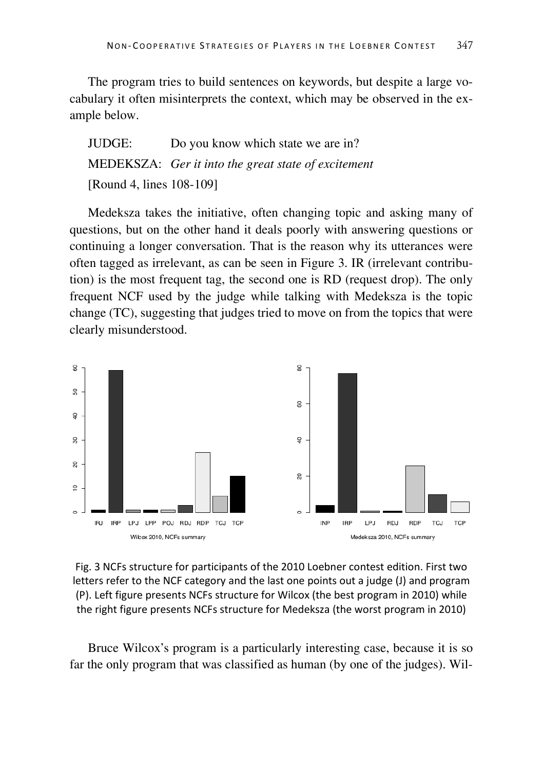The program tries to build sentences on keywords, but despite a large vocabulary it often misinterprets the context, which may be observed in the example below.

JUDGE: Do you know which state we are in? MEDEKSZA: *Ger it into the great state of excitement*  [Round 4, lines 108-109]

Medeksza takes the initiative, often changing topic and asking many of questions, but on the other hand it deals poorly with answering questions or continuing a longer conversation. That is the reason why its utterances were often tagged as irrelevant, as can be seen in Figure 3. IR (irrelevant contribution) is the most frequent tag, the second one is RD (request drop). The only frequent NCF used by the judge while talking with Medeksza is the topic change (TC), suggesting that judges tried to move on from the topics that were clearly misunderstood.



Fig. 3 NCFs structure for participants of the 2010 Loebner contest edition. First two letters refer to the NCF category and the last one points out a judge (J) and program (P). Left figure presents NCFs structure for Wilcox (the best program in 2010) while the right figure presents NCFs structure for Medeksza (the worst program in 2010)

Bruce Wilcox's program is a particularly interesting case, because it is so far the only program that was classified as human (by one of the judges). Wil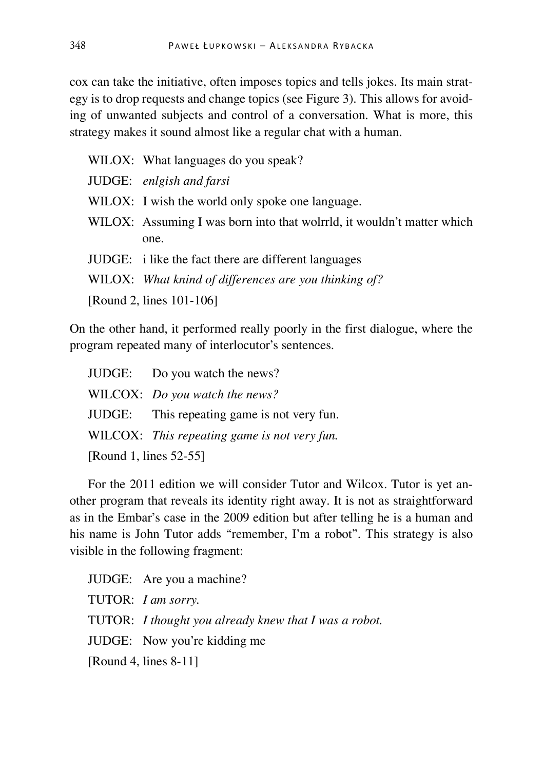cox can take the initiative, often imposes topics and tells jokes. Its main strategy is to drop requests and change topics (see Figure 3). This allows for avoiding of unwanted subjects and control of a conversation. What is more, this strategy makes it sound almost like a regular chat with a human.

WILOX: What languages do you speak?

JUDGE: *enlgish and farsi*

WILOX: I wish the world only spoke one language.

WILOX: Assuming I was born into that wolrrld, it wouldn't matter which one.

JUDGE: i like the fact there are different languages

WILOX: *What knind of differences are you thinking of?* 

[Round 2, lines 101-106]

On the other hand, it performed really poorly in the first dialogue, where the program repeated many of interlocutor's sentences.

|                        | JUDGE: Do you watch the news?                |  |
|------------------------|----------------------------------------------|--|
|                        | WILCOX: Do you watch the news?               |  |
|                        | JUDGE: This repeating game is not very fun.  |  |
|                        | WILCOX: This repeating game is not very fun. |  |
| [Round 1, lines 52-55] |                                              |  |

For the 2011 edition we will consider Tutor and Wilcox. Tutor is yet another program that reveals its identity right away. It is not as straightforward as in the Embar's case in the 2009 edition but after telling he is a human and his name is John Tutor adds "remember, I'm a robot". This strategy is also visible in the following fragment:

JUDGE: Are you a machine? TUTOR: *I am sorry.* TUTOR: *I thought you already knew that I was a robot.*  JUDGE: Now you're kidding me [Round 4, lines 8-11]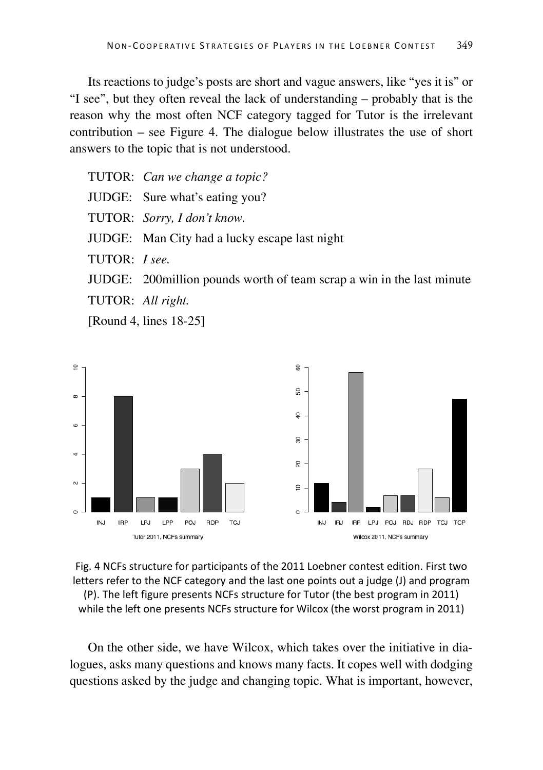Its reactions to judge's posts are short and vague answers, like "yes it is" or "I see", but they often reveal the lack of understanding – probably that is the reason why the most often NCF category tagged for Tutor is the irrelevant contribution – see Figure 4. The dialogue below illustrates the use of short answers to the topic that is not understood.

TUTOR: *Can we change a topic?* JUDGE: Sure what's eating you? TUTOR: *Sorry, I don't know.* JUDGE: Man City had a lucky escape last night TUTOR: *I see.*  JUDGE: 200million pounds worth of team scrap a win in the last minute TUTOR: *All right.* 

[Round 4, lines 18-25]



Fig. 4 NCFs structure for participants of the 2011 Loebner contest edition. First two letters refer to the NCF category and the last one points out a judge (J) and program (P). The left figure presents NCFs structure for Tutor (the best program in 2011) while the left one presents NCFs structure for Wilcox (the worst program in 2011)

On the other side, we have Wilcox, which takes over the initiative in dialogues, asks many questions and knows many facts. It copes well with dodging questions asked by the judge and changing topic. What is important, however,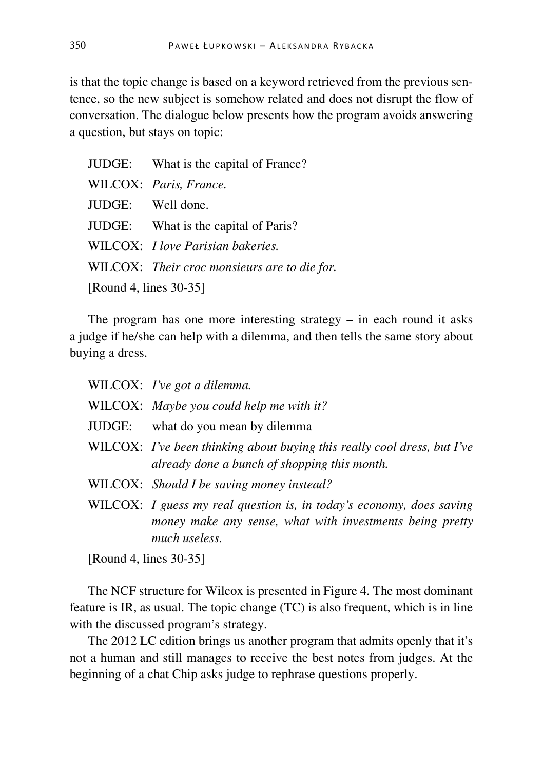is that the topic change is based on a keyword retrieved from the previous sentence, so the new subject is somehow related and does not disrupt the flow of conversation. The dialogue below presents how the program avoids answering a question, but stays on topic:

|                        | JUDGE: What is the capital of France?        |  |
|------------------------|----------------------------------------------|--|
|                        | WILCOX: Paris, France.                       |  |
| JUDGE: Well done.      |                                              |  |
|                        | JUDGE: What is the capital of Paris?         |  |
|                        | WILCOX: <i>I love Parisian bakeries.</i>     |  |
|                        | WILCOX: Their croc monsieurs are to die for. |  |
| [Round 4, lines 30-35] |                                              |  |

The program has one more interesting strategy  $-$  in each round it asks a judge if he/she can help with a dilemma, and then tells the same story about buying a dress.

| WILCOX: I've got a dilemma.                                                                                                      |
|----------------------------------------------------------------------------------------------------------------------------------|
| WILCOX: Maybe you could help me with it?                                                                                         |
| JUDGE: what do you mean by dilemma                                                                                               |
| WILCOX: I've been thinking about buying this really cool dress, but I've<br>already done a bunch of shopping this month.         |
| WILCOX: Should I be saving money instead?                                                                                        |
| WILCOX: I guess my real question is, in today's economy, does saving<br>money make any sense, what with investments being pretty |

[Round 4, lines 30-35]

*much useless.* 

The NCF structure for Wilcox is presented in Figure 4. The most dominant feature is IR, as usual. The topic change (TC) is also frequent, which is in line with the discussed program's strategy.

The 2012 LC edition brings us another program that admits openly that it's not a human and still manages to receive the best notes from judges. At the beginning of a chat Chip asks judge to rephrase questions properly.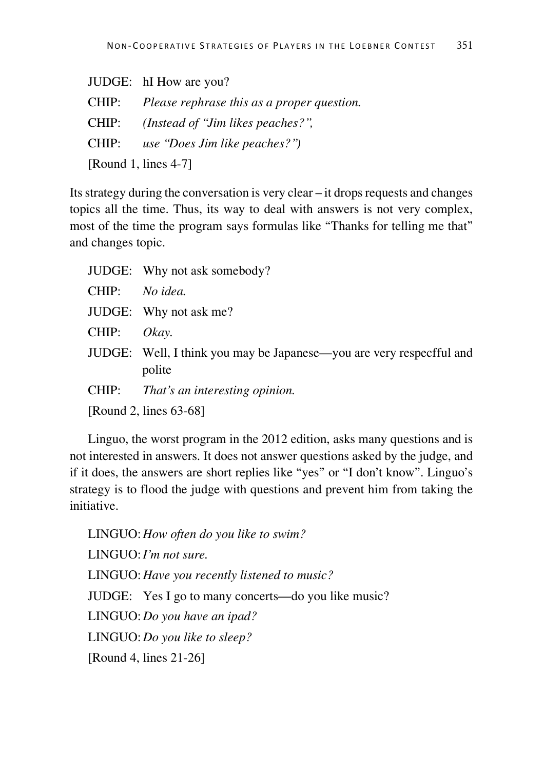|                         | JUDGE: hI How are you?                     |  |
|-------------------------|--------------------------------------------|--|
| CHIP:                   | Please rephrase this as a proper question. |  |
| CHIP:                   | (Instead of "Jim likes peaches?",          |  |
| CHIP:                   | use "Does Jim like peaches?")              |  |
| [Round 1, lines $4-7$ ] |                                            |  |

Its strategy during the conversation is very clear – it drops requests and changes topics all the time. Thus, its way to deal with answers is not very complex, most of the time the program says formulas like "Thanks for telling me that" and changes topic.

|       | JUDGE: Why not ask somebody?                                                   |
|-------|--------------------------------------------------------------------------------|
| CHIP: | No idea.                                                                       |
|       | JUDGE: Why not ask me?                                                         |
| CHIP: | Okay.                                                                          |
|       | JUDGE: Well, I think you may be Japanese—you are very respecfful and<br>polite |
| CHIP: | That's an interesting opinion.                                                 |
|       | [Round 2, lines 63-68]                                                         |

Linguo, the worst program in the 2012 edition, asks many questions and is not interested in answers. It does not answer questions asked by the judge, and if it does, the answers are short replies like "yes" or "I don't know". Linguo's strategy is to flood the judge with questions and prevent him from taking the initiative.

LINGUO:*How often do you like to swim?* LINGUO:*I'm not sure.* LINGUO:*Have you recently listened to music?* JUDGE: Yes I go to many concerts—do you like music? LINGUO:*Do you have an ipad?*  LINGUO:*Do you like to sleep?*  [Round 4, lines 21-26]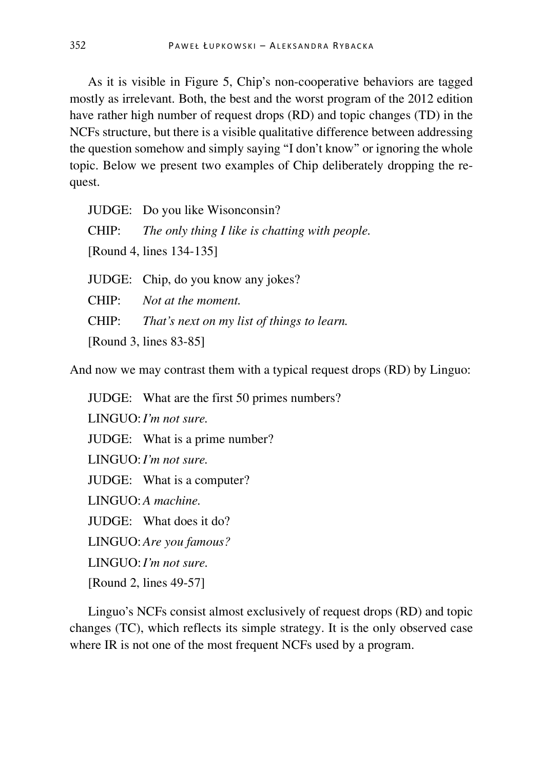As it is visible in Figure 5, Chip's non-cooperative behaviors are tagged mostly as irrelevant. Both, the best and the worst program of the 2012 edition have rather high number of request drops (RD) and topic changes (TD) in the NCFs structure, but there is a visible qualitative difference between addressing the question somehow and simply saying "I don't know" or ignoring the whole topic. Below we present two examples of Chip deliberately dropping the request.

|                        | JUDGE: Do you like Wisonconsin?                      |  |
|------------------------|------------------------------------------------------|--|
|                        | CHIP: The only thing I like is chatting with people. |  |
|                        | [Round 4, lines 134-135]                             |  |
|                        | JUDGE: Chip, do you know any jokes?                  |  |
|                        | CHIP: Not at the moment.                             |  |
| CHIP:                  | That's next on my list of things to learn.           |  |
| [Round 3, lines 83-85] |                                                      |  |

And now we may contrast them with a typical request drops (RD) by Linguo:

JUDGE: What are the first 50 primes numbers? LINGUO:*I'm not sure.* JUDGE: What is a prime number? LINGUO:*I'm not sure.*  JUDGE: What is a computer? LINGUO:*A machine.*  JUDGE: What does it do? LINGUO:*Are you famous?*  LINGUO:*I'm not sure.*  [Round 2, lines 49-57]

Linguo's NCFs consist almost exclusively of request drops (RD) and topic changes (TC), which reflects its simple strategy. It is the only observed case where IR is not one of the most frequent NCFs used by a program.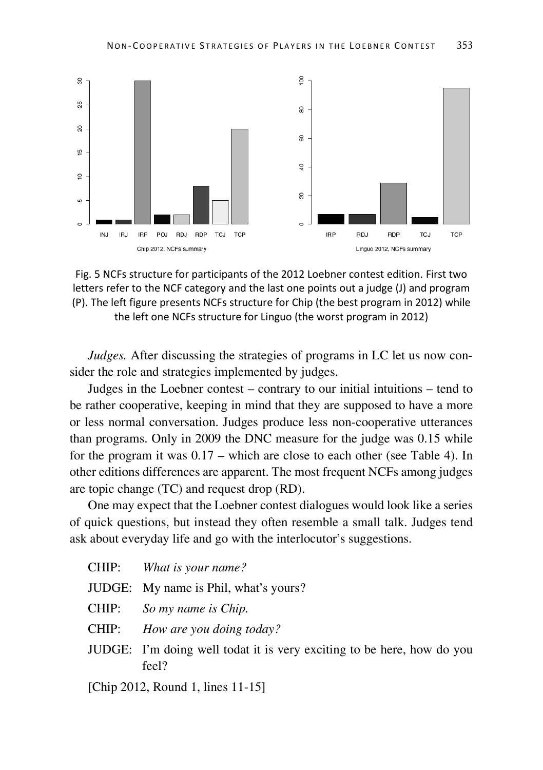

Fig. 5 NCFs structure for participants of the 2012 Loebner contest edition. First two letters refer to the NCF category and the last one points out a judge (J) and program (P). The left figure presents NCFs structure for Chip (the best program in 2012) while the left one NCFs structure for Linguo (the worst program in 2012)

*Judges.* After discussing the strategies of programs in LC let us now consider the role and strategies implemented by judges.

Judges in the Loebner contest – contrary to our initial intuitions – tend to be rather cooperative, keeping in mind that they are supposed to have a more or less normal conversation. Judges produce less non-cooperative utterances than programs. Only in 2009 the DNC measure for the judge was 0.15 while for the program it was 0.17 – which are close to each other (see Table 4). In other editions differences are apparent. The most frequent NCFs among judges are topic change (TC) and request drop (RD).

One may expect that the Loebner contest dialogues would look like a series of quick questions, but instead they often resemble a small talk. Judges tend ask about everyday life and go with the interlocutor's suggestions.

|       | CHIP: What is your name?                                                        |
|-------|---------------------------------------------------------------------------------|
|       | JUDGE: My name is Phil, what's yours?                                           |
|       | CHIP: So my name is Chip.                                                       |
| CHIP: | How are you doing today?                                                        |
|       | JUDGE: I'm doing well todat it is very exciting to be here, how do you<br>feel? |
|       | [Chip 2012, Round 1, lines 11-15]                                               |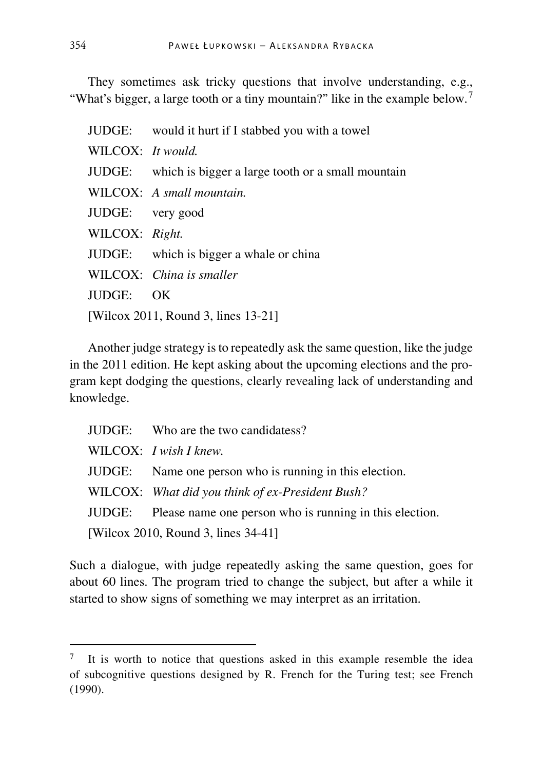They sometimes ask tricky questions that involve understanding, e.g., "What's bigger, a large tooth or a tiny mountain?" like in the example below.<sup>[7](#page-30-0)</sup>

|                                     | JUDGE: would it hurt if I stabbed you with a towel       |  |
|-------------------------------------|----------------------------------------------------------|--|
| WILCOX: It would.                   |                                                          |  |
|                                     | JUDGE: which is bigger a large tooth or a small mountain |  |
|                                     | WILCOX: A small mountain.                                |  |
| JUDGE: very good                    |                                                          |  |
| WILCOX: Right.                      |                                                          |  |
|                                     | JUDGE: which is bigger a whale or china                  |  |
|                                     | WILCOX: China is smaller                                 |  |
| JUDGE: OK                           |                                                          |  |
| [Wilcox 2011, Round 3, lines 13-21] |                                                          |  |

Another judge strategy is to repeatedly ask the same question, like the judge in the 2011 edition. He kept asking about the upcoming elections and the program kept dodging the questions, clearly revealing lack of understanding and knowledge.

|                                     | JUDGE: Who are the two candidatess?                            |  |
|-------------------------------------|----------------------------------------------------------------|--|
|                                     | WILCOX: I wish I knew.                                         |  |
|                                     | JUDGE: Name one person who is running in this election.        |  |
|                                     | WILCOX: What did you think of ex-President Bush?               |  |
|                                     | JUDGE: Please name one person who is running in this election. |  |
| [Wilcox 2010, Round 3, lines 34-41] |                                                                |  |

Such a dialogue, with judge repeatedly asking the same question, goes for about 60 lines. The program tried to change the subject, but after a while it started to show signs of something we may interpret as an irritation.

<span id="page-30-0"></span><sup>&</sup>lt;sup>7</sup> It is worth to notice that questions asked in this example resemble the idea of subcognitive questions designed by R. French for the Turing test; see French (1990).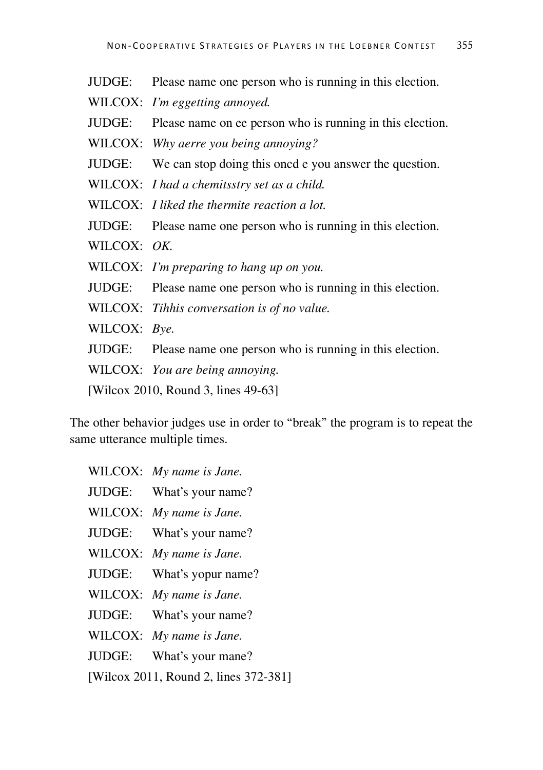- JUDGE: Please name one person who is running in this election. WILCOX: *I'm eggetting annoyed.* JUDGE: Please name on ee person who is running in this election. WILCOX: *Why aerre you being annoying?*  JUDGE: We can stop doing this oncd e you answer the question. WILCOX: *I had a chemitsstry set as a child.* WILCOX: *I liked the thermite reaction a lot.* JUDGE: Please name one person who is running in this election. WILCOX: *OK.*  WILCOX: *I'm preparing to hang up on you.* JUDGE: Please name one person who is running in this election. WILCOX: *Tihhis conversation is of no value.* WILCOX: *Bye.*
- JUDGE: Please name one person who is running in this election.
- WILCOX: *You are being annoying.*

[Wilcox 2010, Round 3, lines 49-63]

The other behavior judges use in order to "break" the program is to repeat the same utterance multiple times.

- WILCOX: *My name is Jane.*
- JUDGE: What's your name?
- WILCOX: *My name is Jane.*
- JUDGE: What's your name?
- WILCOX: *My name is Jane.*
- JUDGE: What's yopur name?
- WILCOX: *My name is Jane.*
- JUDGE: What's your name?
- WILCOX: *My name is Jane.*
- JUDGE: What's your mane?
- [Wilcox 2011, Round 2, lines 372-381]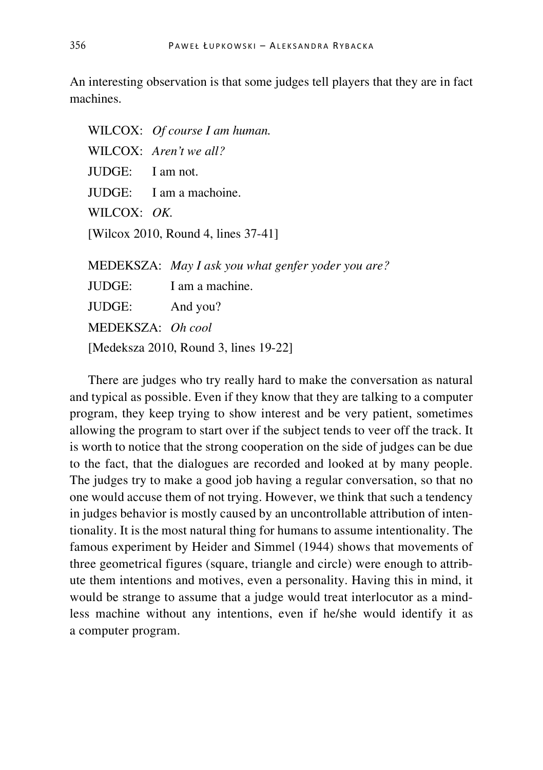An interesting observation is that some judges tell players that they are in fact machines.

|                                       | WILCOX: Of course I am human.                      |  |  |
|---------------------------------------|----------------------------------------------------|--|--|
|                                       | WILCOX: Aren't we all?                             |  |  |
| JUDGE: I am not.                      |                                                    |  |  |
|                                       | JUDGE: I am a machoine.                            |  |  |
| WILCOX: OK.                           |                                                    |  |  |
| [Wilcox 2010, Round 4, lines 37-41]   |                                                    |  |  |
|                                       |                                                    |  |  |
|                                       | MEDEKSZA: May I ask you what genfer yoder you are? |  |  |
|                                       | JUDGE: I am a machine.                             |  |  |
|                                       | JUDGE: And you?                                    |  |  |
|                                       | MEDEKSZA: Oh cool                                  |  |  |
| [Medeksza 2010, Round 3, lines 19-22] |                                                    |  |  |
|                                       |                                                    |  |  |

There are judges who try really hard to make the conversation as natural and typical as possible. Even if they know that they are talking to a computer program, they keep trying to show interest and be very patient, sometimes allowing the program to start over if the subject tends to veer off the track. It is worth to notice that the strong cooperation on the side of judges can be due to the fact, that the dialogues are recorded and looked at by many people. The judges try to make a good job having a regular conversation, so that no one would accuse them of not trying. However, we think that such a tendency in judges behavior is mostly caused by an uncontrollable attribution of intentionality. It is the most natural thing for humans to assume intentionality. The famous experiment by Heider and Simmel (1944) shows that movements of three geometrical figures (square, triangle and circle) were enough to attribute them intentions and motives, even a personality. Having this in mind, it would be strange to assume that a judge would treat interlocutor as a mindless machine without any intentions, even if he/she would identify it as a computer program.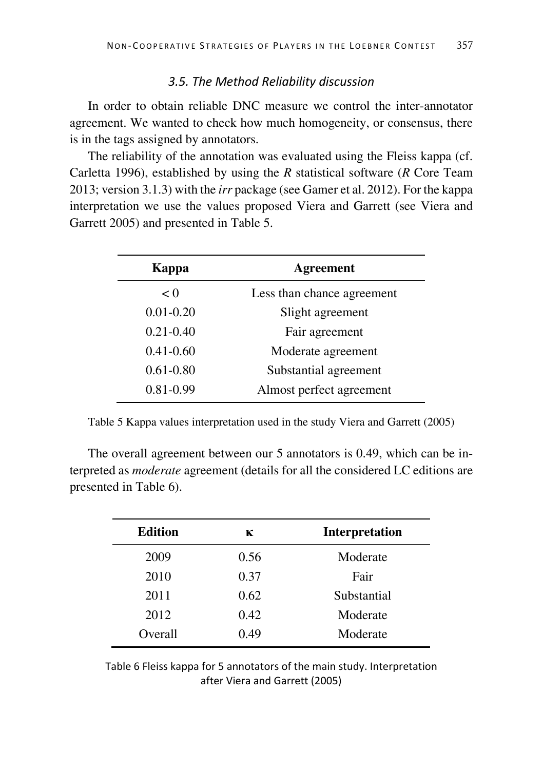#### *3.5. The Method Reliability discussion*

In order to obtain reliable DNC measure we control the inter-annotator agreement. We wanted to check how much homogeneity, or consensus, there is in the tags assigned by annotators.

The reliability of the annotation was evaluated using the Fleiss kappa (cf. Carletta 1996), established by using the *R* statistical software (*R* Core Team 2013; version 3.1.3) with the *irr* package (see Gamer et al. 2012). For the kappa interpretation we use the values proposed Viera and Garrett (see Viera and Garrett 2005) and presented in Table 5.

| Kappa         | <b>Agreement</b>           |  |
|---------------|----------------------------|--|
| < 0           | Less than chance agreement |  |
| $0.01 - 0.20$ | Slight agreement           |  |
| $0.21 - 0.40$ | Fair agreement             |  |
| $0.41 - 0.60$ | Moderate agreement         |  |
| $0.61 - 0.80$ | Substantial agreement      |  |
| $0.81 - 0.99$ | Almost perfect agreement   |  |

Table 5 Kappa values interpretation used in the study Viera and Garrett (2005)

The overall agreement between our 5 annotators is 0.49, which can be interpreted as *moderate* agreement (details for all the considered LC editions are presented in Table 6).

| <b>Edition</b> | к    | <b>Interpretation</b> |
|----------------|------|-----------------------|
| 2009           | 0.56 | Moderate              |
| 2010           | 0.37 | Fair                  |
| 2011           | 0.62 | Substantial           |
| 2012           | 0.42 | Moderate              |
| Overall        | 0.49 | Moderate              |
|                |      |                       |

Table 6 Fleiss kappa for 5 annotators of the main study. Interpretation after Viera and Garrett (2005)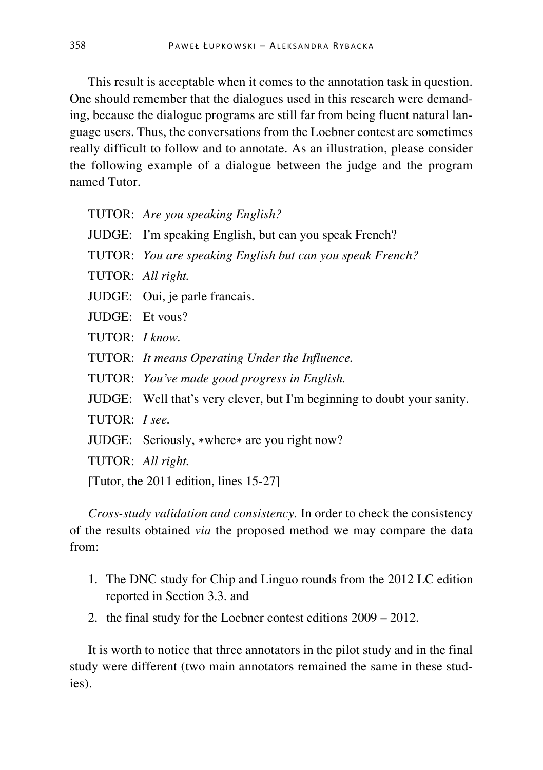This result is acceptable when it comes to the annotation task in question. One should remember that the dialogues used in this research were demanding, because the dialogue programs are still far from being fluent natural language users. Thus, the conversations from the Loebner contest are sometimes really difficult to follow and to annotate. As an illustration, please consider the following example of a dialogue between the judge and the program named Tutor.

TUTOR: *Are you speaking English?*

- JUDGE: I'm speaking English, but can you speak French?
- TUTOR: *You are speaking English but can you speak French?*
- TUTOR: *All right.*
- JUDGE: Oui, je parle francais.
- JUDGE: Et vous?
- TUTOR: *I know.*
- TUTOR: *It means Operating Under the Influence.*
- TUTOR: *You've made good progress in English.*
- JUDGE: Well that's very clever, but I'm beginning to doubt your sanity.
- TUTOR: *I see.*
- JUDGE: Seriously, ∗where∗ are you right now?
- TUTOR: *All right.*

[Tutor, the 2011 edition, lines 15-27]

*Cross-study validation and consistency.* In order to check the consistency of the results obtained *via* the proposed method we may compare the data from:

- 1. The DNC study for Chip and Linguo rounds from the 2012 LC edition reported in Section 3.3. and
- 2. the final study for the Loebner contest editions 2009 2012.

It is worth to notice that three annotators in the pilot study and in the final study were different (two main annotators remained the same in these studies).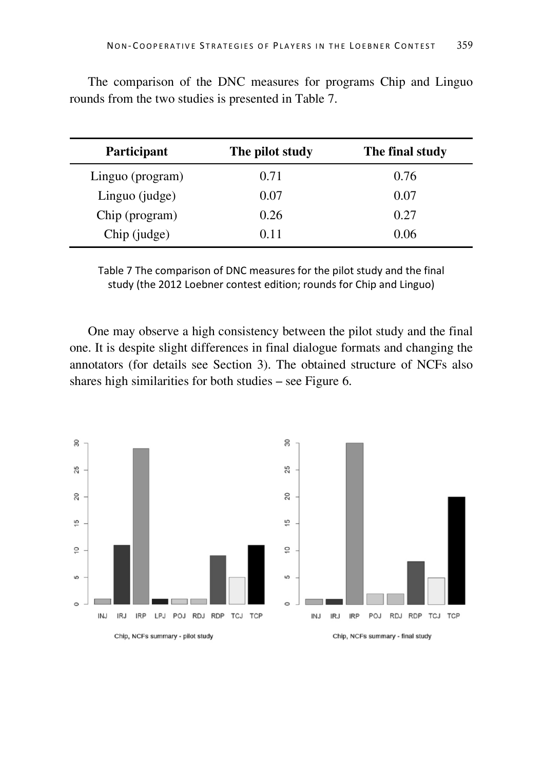| Participant      | The pilot study | The final study |
|------------------|-----------------|-----------------|
| Linguo (program) | 0.71            | 0.76            |
| Linguo (judge)   | 0.07            | 0.07            |
| Chip (program)   | 0.26            | 0.27            |
| Chip (judge)     | 0.11            | 0.06            |

The comparison of the DNC measures for programs Chip and Linguo rounds from the two studies is presented in Table 7.

Table 7 The comparison of DNC measures for the pilot study and the final study (the 2012 Loebner contest edition; rounds for Chip and Linguo)

One may observe a high consistency between the pilot study and the final one. It is despite slight differences in final dialogue formats and changing the annotators (for details see Section 3). The obtained structure of NCFs also shares high similarities for both studies – see Figure 6.

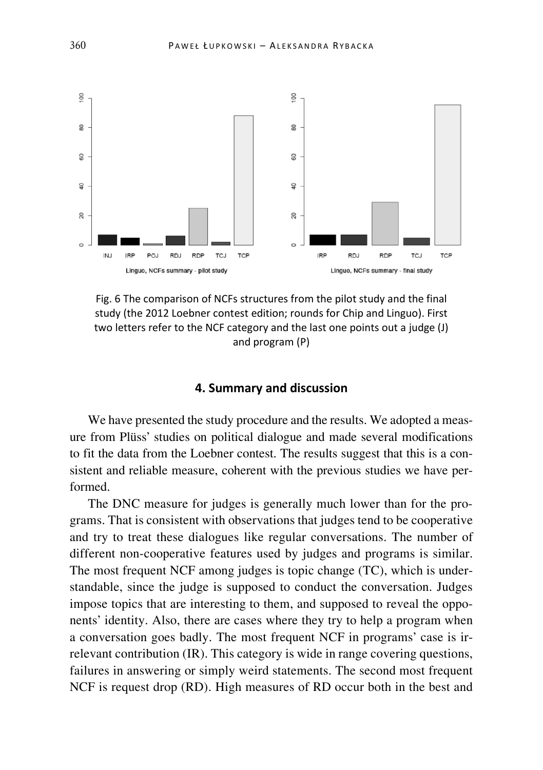

Fig. 6 The comparison of NCFs structures from the pilot study and the final study (the 2012 Loebner contest edition; rounds for Chip and Linguo). First two letters refer to the NCF category and the last one points out a judge (J) and program (P)

# **4. Summary and discussion**

We have presented the study procedure and the results. We adopted a measure from Plüss' studies on political dialogue and made several modifications to fit the data from the Loebner contest. The results suggest that this is a consistent and reliable measure, coherent with the previous studies we have performed.

The DNC measure for judges is generally much lower than for the programs. That is consistent with observations that judges tend to be cooperative and try to treat these dialogues like regular conversations. The number of different non-cooperative features used by judges and programs is similar. The most frequent NCF among judges is topic change (TC), which is understandable, since the judge is supposed to conduct the conversation. Judges impose topics that are interesting to them, and supposed to reveal the opponents' identity. Also, there are cases where they try to help a program when a conversation goes badly. The most frequent NCF in programs' case is irrelevant contribution (IR). This category is wide in range covering questions, failures in answering or simply weird statements. The second most frequent NCF is request drop (RD). High measures of RD occur both in the best and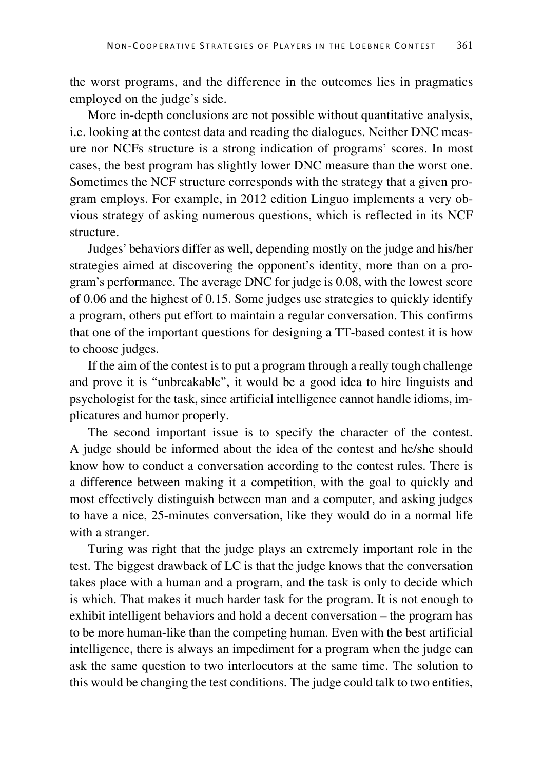the worst programs, and the difference in the outcomes lies in pragmatics employed on the judge's side.

More in-depth conclusions are not possible without quantitative analysis, i.e. looking at the contest data and reading the dialogues. Neither DNC measure nor NCFs structure is a strong indication of programs' scores. In most cases, the best program has slightly lower DNC measure than the worst one. Sometimes the NCF structure corresponds with the strategy that a given program employs. For example, in 2012 edition Linguo implements a very obvious strategy of asking numerous questions, which is reflected in its NCF structure.

Judges' behaviors differ as well, depending mostly on the judge and his/her strategies aimed at discovering the opponent's identity, more than on a program's performance. The average DNC for judge is 0.08, with the lowest score of 0.06 and the highest of 0.15. Some judges use strategies to quickly identify a program, others put effort to maintain a regular conversation. This confirms that one of the important questions for designing a TT-based contest it is how to choose judges.

If the aim of the contest is to put a program through a really tough challenge and prove it is "unbreakable", it would be a good idea to hire linguists and psychologist for the task, since artificial intelligence cannot handle idioms, implicatures and humor properly.

The second important issue is to specify the character of the contest. A judge should be informed about the idea of the contest and he/she should know how to conduct a conversation according to the contest rules. There is a difference between making it a competition, with the goal to quickly and most effectively distinguish between man and a computer, and asking judges to have a nice, 25-minutes conversation, like they would do in a normal life with a stranger.

Turing was right that the judge plays an extremely important role in the test. The biggest drawback of LC is that the judge knows that the conversation takes place with a human and a program, and the task is only to decide which is which. That makes it much harder task for the program. It is not enough to exhibit intelligent behaviors and hold a decent conversation – the program has to be more human-like than the competing human. Even with the best artificial intelligence, there is always an impediment for a program when the judge can ask the same question to two interlocutors at the same time. The solution to this would be changing the test conditions. The judge could talk to two entities,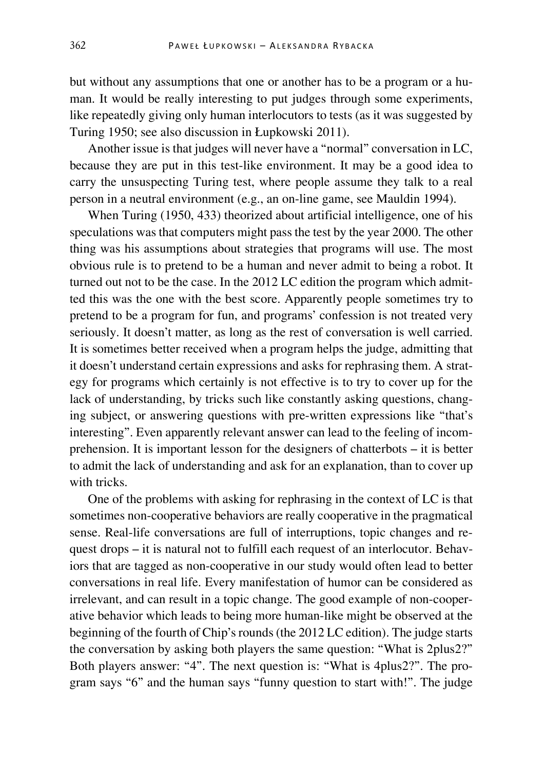but without any assumptions that one or another has to be a program or a human. It would be really interesting to put judges through some experiments, like repeatedly giving only human interlocutors to tests (as it was suggested by Turing 1950; see also discussion in Łupkowski 2011).

Another issue is that judges will never have a "normal" conversation in LC, because they are put in this test-like environment. It may be a good idea to carry the unsuspecting Turing test, where people assume they talk to a real person in a neutral environment (e.g., an on-line game, see Mauldin 1994).

When Turing (1950, 433) theorized about artificial intelligence, one of his speculations was that computers might pass the test by the year 2000. The other thing was his assumptions about strategies that programs will use. The most obvious rule is to pretend to be a human and never admit to being a robot. It turned out not to be the case. In the 2012 LC edition the program which admitted this was the one with the best score. Apparently people sometimes try to pretend to be a program for fun, and programs' confession is not treated very seriously. It doesn't matter, as long as the rest of conversation is well carried. It is sometimes better received when a program helps the judge, admitting that it doesn't understand certain expressions and asks for rephrasing them. A strategy for programs which certainly is not effective is to try to cover up for the lack of understanding, by tricks such like constantly asking questions, changing subject, or answering questions with pre-written expressions like "that's interesting". Even apparently relevant answer can lead to the feeling of incomprehension. It is important lesson for the designers of chatterbots – it is better to admit the lack of understanding and ask for an explanation, than to cover up with tricks.

One of the problems with asking for rephrasing in the context of LC is that sometimes non-cooperative behaviors are really cooperative in the pragmatical sense. Real-life conversations are full of interruptions, topic changes and request drops – it is natural not to fulfill each request of an interlocutor. Behaviors that are tagged as non-cooperative in our study would often lead to better conversations in real life. Every manifestation of humor can be considered as irrelevant, and can result in a topic change. The good example of non-cooperative behavior which leads to being more human-like might be observed at the beginning of the fourth of Chip's rounds (the 2012 LC edition). The judge starts the conversation by asking both players the same question: "What is 2plus2?" Both players answer: "4". The next question is: "What is 4plus2?". The program says "6" and the human says "funny question to start with!". The judge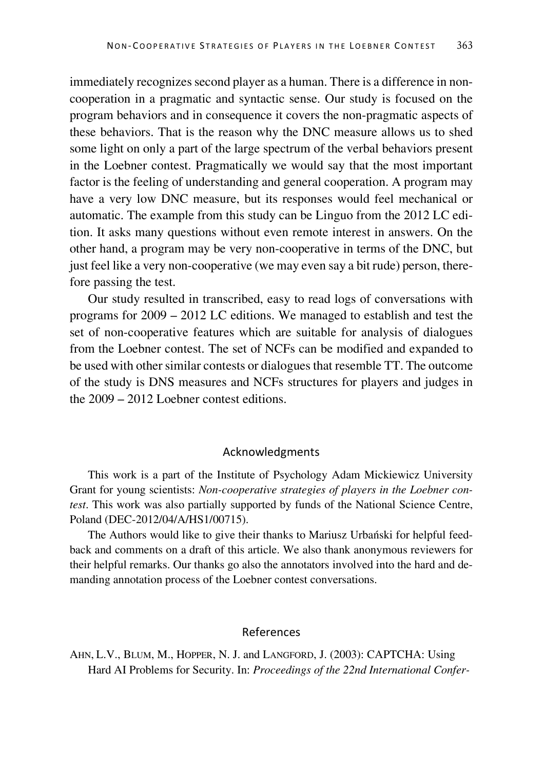immediately recognizes second player as a human. There is a difference in noncooperation in a pragmatic and syntactic sense. Our study is focused on the program behaviors and in consequence it covers the non-pragmatic aspects of these behaviors. That is the reason why the DNC measure allows us to shed some light on only a part of the large spectrum of the verbal behaviors present in the Loebner contest. Pragmatically we would say that the most important factor is the feeling of understanding and general cooperation. A program may have a very low DNC measure, but its responses would feel mechanical or automatic. The example from this study can be Linguo from the 2012 LC edition. It asks many questions without even remote interest in answers. On the other hand, a program may be very non-cooperative in terms of the DNC, but just feel like a very non-cooperative (we may even say a bit rude) person, therefore passing the test.

Our study resulted in transcribed, easy to read logs of conversations with programs for 2009 – 2012 LC editions. We managed to establish and test the set of non-cooperative features which are suitable for analysis of dialogues from the Loebner contest. The set of NCFs can be modified and expanded to be used with other similar contests or dialogues that resemble TT. The outcome of the study is DNS measures and NCFs structures for players and judges in the 2009 – 2012 Loebner contest editions.

#### Acknowledgments

This work is a part of the Institute of Psychology Adam Mickiewicz University Grant for young scientists: *Non-cooperative strategies of players in the Loebner contest*. This work was also partially supported by funds of the National Science Centre, Poland (DEC-2012/04/A/HS1/00715).

The Authors would like to give their thanks to Mariusz Urbański for helpful feedback and comments on a draft of this article. We also thank anonymous reviewers for their helpful remarks. Our thanks go also the annotators involved into the hard and demanding annotation process of the Loebner contest conversations.

#### References

AHN, L.V., BLUM, M., HOPPER, N. J. and LANGFORD, J. (2003): CAPTCHA: Using Hard AI Problems for Security. In: *Proceedings of the 22nd International Confer-*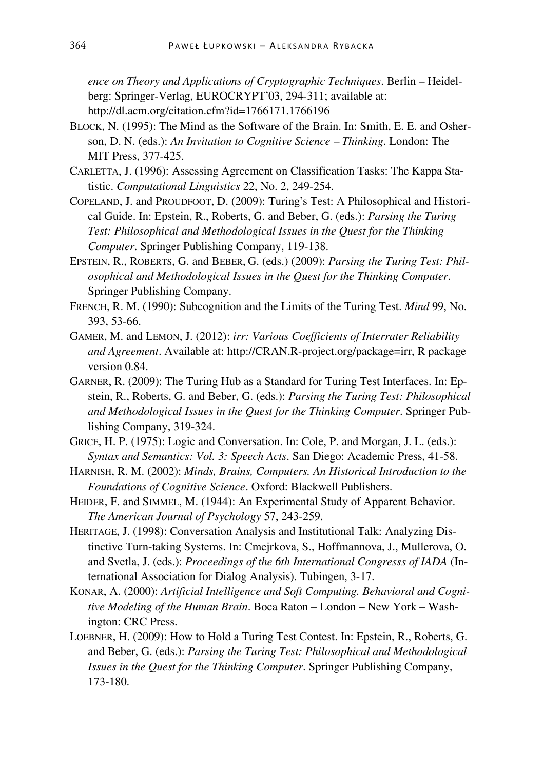*ence on Theory and Applications of Cryptographic Techniques*. Berlin – Heidelberg: Springer-Verlag, EUROCRYPT'03, 294-311; available at: http://dl.acm.org/citation.cfm?id=1766171.1766196

- BLOCK, N. (1995): The Mind as the Software of the Brain. In: Smith, E. E. and Osherson, D. N. (eds.): *An Invitation to Cognitive Science – Thinking*. London: The MIT Press, 377-425.
- CARLETTA, J. (1996): Assessing Agreement on Classification Tasks: The Kappa Statistic. *Computational Linguistics* 22, No. 2, 249-254.
- COPELAND, J. and PROUDFOOT, D. (2009): Turing's Test: A Philosophical and Historical Guide. In: Epstein, R., Roberts, G. and Beber, G. (eds.): *Parsing the Turing Test: Philosophical and Methodological Issues in the Quest for the Thinking Computer*. Springer Publishing Company, 119-138.
- EPSTEIN, R., ROBERTS, G. and BEBER, G. (eds.) (2009): *Parsing the Turing Test: Philosophical and Methodological Issues in the Quest for the Thinking Computer*. Springer Publishing Company.
- FRENCH, R. M. (1990): Subcognition and the Limits of the Turing Test. *Mind* 99, No. 393, 53-66.
- GAMER, M. and LEMON, J. (2012): *irr: Various Coefficients of Interrater Reliability and Agreement*. Available at: http://CRAN.R-project.org/package=irr, R package version 0.84.
- GARNER, R. (2009): The Turing Hub as a Standard for Turing Test Interfaces. In: Epstein, R., Roberts, G. and Beber, G. (eds.): *Parsing the Turing Test: Philosophical and Methodological Issues in the Quest for the Thinking Computer*. Springer Publishing Company, 319-324.
- GRICE, H. P. (1975): Logic and Conversation. In: Cole, P. and Morgan, J. L. (eds.): *Syntax and Semantics: Vol. 3: Speech Acts*. San Diego: Academic Press, 41-58.
- HARNISH, R. M. (2002): *Minds, Brains, Computers. An Historical Introduction to the Foundations of Cognitive Science*. Oxford: Blackwell Publishers.
- HEIDER, F. and SIMMEL, M. (1944): An Experimental Study of Apparent Behavior. *The American Journal of Psychology* 57, 243-259.
- HERITAGE, J. (1998): Conversation Analysis and Institutional Talk: Analyzing Distinctive Turn-taking Systems. In: Cmejrkova, S., Hoffmannova, J., Mullerova, O. and Svetla, J. (eds.): *Proceedings of the 6th International Congresss of IADA* (International Association for Dialog Analysis). Tubingen, 3-17.
- KONAR, A. (2000): *Artificial Intelligence and Soft Computing. Behavioral and Cognitive Modeling of the Human Brain*. Boca Raton – London – New York – Washington: CRC Press.
- LOEBNER, H. (2009): How to Hold a Turing Test Contest. In: Epstein, R., Roberts, G. and Beber, G. (eds.): *Parsing the Turing Test: Philosophical and Methodological Issues in the Quest for the Thinking Computer*. Springer Publishing Company, 173-180.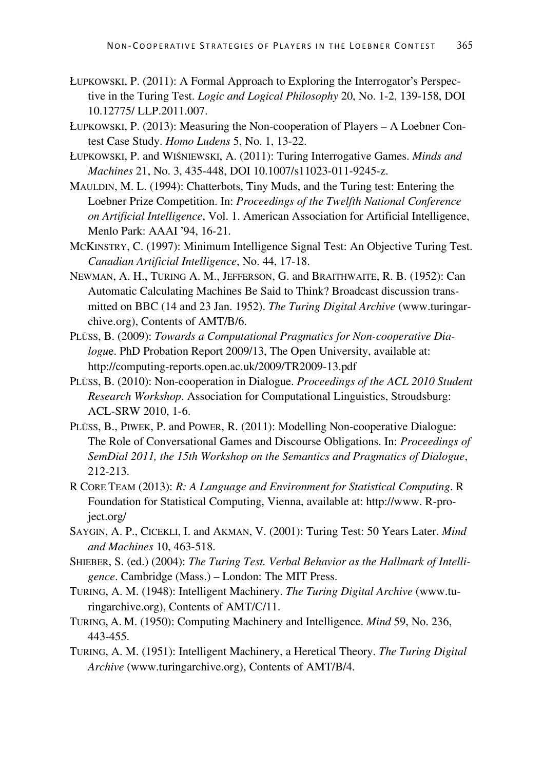- ŁUPKOWSKI, P. (2011): A Formal Approach to Exploring the Interrogator's Perspective in the Turing Test. *Logic and Logical Philosophy* 20, No. 1-2, 139-158, DOI 10.12775/ LLP.2011.007.
- ŁUPKOWSKI, P. (2013): Measuring the Non-cooperation of Players A Loebner Contest Case Study. *Homo Ludens* 5, No. 1, 13-22.
- ŁUPKOWSKI, P. and WIŚNIEWSKI, A. (2011): Turing Interrogative Games. *Minds and Machines* 21, No. 3, 435-448, DOI 10.1007/s11023-011-9245-z.
- MAULDIN, M. L. (1994): Chatterbots, Tiny Muds, and the Turing test: Entering the Loebner Prize Competition. In: *Proceedings of the Twelfth National Conference on Artificial Intelligence*, Vol. 1. American Association for Artificial Intelligence, Menlo Park: AAAI '94, 16-21.
- MCKINSTRY, C. (1997): Minimum Intelligence Signal Test: An Objective Turing Test. *Canadian Artificial Intelligence*, No. 44, 17-18.
- NEWMAN, A. H., TURING A. M., JEFFERSON, G. and BRAITHWAITE, R. B. (1952): Can Automatic Calculating Machines Be Said to Think? Broadcast discussion transmitted on BBC (14 and 23 Jan. 1952). *The Turing Digital Archive* (www.turingarchive.org), Contents of AMT/B/6.
- PLÜSS, B. (2009): *Towards a Computational Pragmatics for Non-cooperative Dialogu*e. PhD Probation Report 2009/13, The Open University, available at: http://computing-reports.open.ac.uk/2009/TR2009-13.pdf
- PLÜSS, B. (2010): Non-cooperation in Dialogue. *Proceedings of the ACL 2010 Student Research Workshop*. Association for Computational Linguistics, Stroudsburg: ACL-SRW 2010, 1-6.
- PLÜSS, B., PIWEK, P. and POWER, R. (2011): Modelling Non-cooperative Dialogue: The Role of Conversational Games and Discourse Obligations. In: *Proceedings of SemDial 2011, the 15th Workshop on the Semantics and Pragmatics of Dialogue*, 212-213.
- R CORE TEAM (2013): *R: A Language and Environment for Statistical Computing*. R Foundation for Statistical Computing, Vienna, available at: http://www. R-project.org/
- SAYGIN, A. P., CICEKLI, I. and AKMAN, V. (2001): Turing Test: 50 Years Later. *Mind and Machines* 10, 463-518.
- SHIEBER, S. (ed.) (2004): *The Turing Test. Verbal Behavior as the Hallmark of Intelligence*. Cambridge (Mass.) – London: The MIT Press.
- TURING, A. M. (1948): Intelligent Machinery. *The Turing Digital Archive* (www.turingarchive.org), Contents of AMT/C/11.
- TURING, A. M. (1950): Computing Machinery and Intelligence. *Mind* 59, No. 236, 443-455.
- TURING, A. M. (1951): Intelligent Machinery, a Heretical Theory. *The Turing Digital Archive* (www.turingarchive.org), Contents of AMT/B/4.